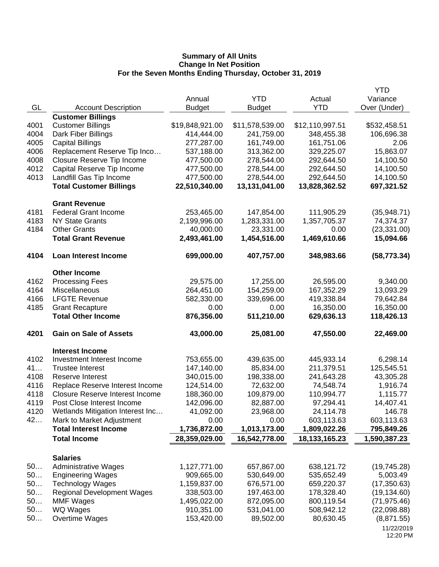| Actual<br>Variance<br>GL<br><b>YTD</b><br>Over (Under)<br><b>Account Description</b><br><b>Budget</b><br><b>Budget</b><br><b>Customer Billings</b><br>4001<br><b>Customer Billings</b><br>\$19,848,921.00<br>\$11,578,539.00<br>\$12,110,997.51<br>\$532,458.51<br>4004<br>414,444.00<br>241,759.00<br>348,455.38<br>106,696.38<br>Dark Fiber Billings<br>4005<br><b>Capital Billings</b><br>277,287.00<br>161,749.00<br>161,751.06<br>2.06<br>Replacement Reserve Tip Inco<br>15,863.07<br>4006<br>537,188.00<br>313,362.00<br>329,225.07<br>4008<br>278,544.00<br>14,100.50<br><b>Closure Reserve Tip Income</b><br>477,500.00<br>292,644.50<br>4012<br>Capital Reserve Tip Income<br>477,500.00<br>278,544.00<br>292,644.50<br>14,100.50<br>4013<br>Landfill Gas Tip Income<br>477,500.00<br>278,544.00<br>292,644.50<br>14,100.50<br><b>Total Customer Billings</b><br>22,510,340.00<br>13,131,041.00<br>13,828,362.52<br>697,321.52<br><b>Grant Revenue</b><br><b>Federal Grant Income</b><br>4181<br>253,465.00<br>147,854.00<br>111,905.29<br>(35,948.71)<br>4183<br>2,199,996.00<br>1,283,331.00<br><b>NY State Grants</b><br>1,357,705.37<br>74,374.37<br>4184<br><b>Other Grants</b><br>23,331.00<br>0.00<br>40,000.00<br>(23, 331.00)<br><b>Total Grant Revenue</b><br>2,493,461.00<br>1,454,516.00<br>1,469,610.66<br>15,094.66<br>4104<br><b>Loan Interest Income</b><br>699,000.00<br>407,757.00<br>348,983.66<br>(58, 773.34)<br><b>Other Income</b><br>4162<br><b>Processing Fees</b><br>29,575.00<br>17,255.00<br>26,595.00<br>9,340.00<br>4164<br>Miscellaneous<br>264,451.00<br>154,259.00<br>167,352.29<br>13,093.29<br>4166<br><b>LFGTE Revenue</b><br>339,696.00<br>419,338.84<br>582,330.00<br>79,642.84<br>4185<br>16,350.00<br>16,350.00<br><b>Grant Recapture</b><br>0.00<br>0.00<br><b>Total Other Income</b><br>876,356.00<br>511,210.00<br>629,636.13<br>118,426.13<br>4201<br><b>Gain on Sale of Assets</b><br>43,000.00<br>25,081.00<br>47,550.00<br>22,469.00<br><b>Interest Income</b><br>4102<br>Investment Interest Income<br>6,298.14<br>753,655.00<br>439,635.00<br>445,933.14<br>41<br><b>Trustee Interest</b><br>147,140.00<br>85,834.00<br>211,379.51<br>125,545.51<br>4108<br>340,015.00<br>43,305.28<br>Reserve Interest<br>198,338.00<br>241,643.28<br>4116<br>Replace Reserve Interest Income<br>124,514.00<br>72,632.00<br>74,548.74<br>1,916.74<br>4118<br><b>Closure Reserve Interest Income</b><br>188,360.00<br>109,879.00<br>110,994.77<br>1,115.77<br>4119<br>14,407.41<br>Post Close Interest Income<br>142,096.00<br>82,887.00<br>97,294.41<br>4120<br>Wetlands Mitigation Interest Inc<br>41,092.00<br>23,968.00<br>24,114.78<br>146.78<br>42<br>Mark to Market Adjustment<br>0.00<br>603,113.63<br>603,113.63<br>0.00<br><b>Total Interest Income</b><br>1,736,872.00<br>1,809,022.26<br>1,013,173.00<br>795,849.26<br>18, 133, 165. 23<br><b>Total Income</b><br>28,359,029.00<br>16,542,778.00<br>1,590,387.23<br><b>Salaries</b><br>50<br><b>Administrative Wages</b><br>1,127,771.00<br>657,867.00<br>638,121.72<br>(19,745.28)<br>50<br>909,665.00<br><b>Engineering Wages</b><br>530,649.00<br>535,652.49<br>5,003.49<br>50<br><b>Technology Wages</b><br>1,159,837.00<br>676,571.00<br>659,220.37<br>(17, 350.63)<br>50<br><b>Regional Development Wages</b><br>338,503.00<br>178,328.40<br>(19, 134.60)<br>197,463.00<br>50<br><b>MMF Wages</b><br>1,495,022.00<br>872,095.00<br>800,119.54<br>(71, 975.46)<br>50<br>WQ Wages<br>910,351.00<br>531,041.00<br>508,942.12<br>(22,098.88)<br>50<br>80,630.45<br>Overtime Wages<br>153,420.00<br>89,502.00<br>(8,871.55)<br>11/22/2019 |  |        |            | <b>YTD</b> |
|---------------------------------------------------------------------------------------------------------------------------------------------------------------------------------------------------------------------------------------------------------------------------------------------------------------------------------------------------------------------------------------------------------------------------------------------------------------------------------------------------------------------------------------------------------------------------------------------------------------------------------------------------------------------------------------------------------------------------------------------------------------------------------------------------------------------------------------------------------------------------------------------------------------------------------------------------------------------------------------------------------------------------------------------------------------------------------------------------------------------------------------------------------------------------------------------------------------------------------------------------------------------------------------------------------------------------------------------------------------------------------------------------------------------------------------------------------------------------------------------------------------------------------------------------------------------------------------------------------------------------------------------------------------------------------------------------------------------------------------------------------------------------------------------------------------------------------------------------------------------------------------------------------------------------------------------------------------------------------------------------------------------------------------------------------------------------------------------------------------------------------------------------------------------------------------------------------------------------------------------------------------------------------------------------------------------------------------------------------------------------------------------------------------------------------------------------------------------------------------------------------------------------------------------------------------------------------------------------------------------------------------------------------------------------------------------------------------------------------------------------------------------------------------------------------------------------------------------------------------------------------------------------------------------------------------------------------------------------------------------------------------------------------------------------------------------------------------------------------------------------------------------------------------------------------------------------------------------------------------------------------------------------------------------------------------------------------------------------------------------------------------------------------------------------------------------------------------------------------------------------------------------------------------------------------------------------------------------------------------------------------------------------|--|--------|------------|------------|
|                                                                                                                                                                                                                                                                                                                                                                                                                                                                                                                                                                                                                                                                                                                                                                                                                                                                                                                                                                                                                                                                                                                                                                                                                                                                                                                                                                                                                                                                                                                                                                                                                                                                                                                                                                                                                                                                                                                                                                                                                                                                                                                                                                                                                                                                                                                                                                                                                                                                                                                                                                                                                                                                                                                                                                                                                                                                                                                                                                                                                                                                                                                                                                                                                                                                                                                                                                                                                                                                                                                                                                                                                                                   |  | Annual | <b>YTD</b> |            |
|                                                                                                                                                                                                                                                                                                                                                                                                                                                                                                                                                                                                                                                                                                                                                                                                                                                                                                                                                                                                                                                                                                                                                                                                                                                                                                                                                                                                                                                                                                                                                                                                                                                                                                                                                                                                                                                                                                                                                                                                                                                                                                                                                                                                                                                                                                                                                                                                                                                                                                                                                                                                                                                                                                                                                                                                                                                                                                                                                                                                                                                                                                                                                                                                                                                                                                                                                                                                                                                                                                                                                                                                                                                   |  |        |            |            |
|                                                                                                                                                                                                                                                                                                                                                                                                                                                                                                                                                                                                                                                                                                                                                                                                                                                                                                                                                                                                                                                                                                                                                                                                                                                                                                                                                                                                                                                                                                                                                                                                                                                                                                                                                                                                                                                                                                                                                                                                                                                                                                                                                                                                                                                                                                                                                                                                                                                                                                                                                                                                                                                                                                                                                                                                                                                                                                                                                                                                                                                                                                                                                                                                                                                                                                                                                                                                                                                                                                                                                                                                                                                   |  |        |            |            |
|                                                                                                                                                                                                                                                                                                                                                                                                                                                                                                                                                                                                                                                                                                                                                                                                                                                                                                                                                                                                                                                                                                                                                                                                                                                                                                                                                                                                                                                                                                                                                                                                                                                                                                                                                                                                                                                                                                                                                                                                                                                                                                                                                                                                                                                                                                                                                                                                                                                                                                                                                                                                                                                                                                                                                                                                                                                                                                                                                                                                                                                                                                                                                                                                                                                                                                                                                                                                                                                                                                                                                                                                                                                   |  |        |            |            |
|                                                                                                                                                                                                                                                                                                                                                                                                                                                                                                                                                                                                                                                                                                                                                                                                                                                                                                                                                                                                                                                                                                                                                                                                                                                                                                                                                                                                                                                                                                                                                                                                                                                                                                                                                                                                                                                                                                                                                                                                                                                                                                                                                                                                                                                                                                                                                                                                                                                                                                                                                                                                                                                                                                                                                                                                                                                                                                                                                                                                                                                                                                                                                                                                                                                                                                                                                                                                                                                                                                                                                                                                                                                   |  |        |            |            |
|                                                                                                                                                                                                                                                                                                                                                                                                                                                                                                                                                                                                                                                                                                                                                                                                                                                                                                                                                                                                                                                                                                                                                                                                                                                                                                                                                                                                                                                                                                                                                                                                                                                                                                                                                                                                                                                                                                                                                                                                                                                                                                                                                                                                                                                                                                                                                                                                                                                                                                                                                                                                                                                                                                                                                                                                                                                                                                                                                                                                                                                                                                                                                                                                                                                                                                                                                                                                                                                                                                                                                                                                                                                   |  |        |            |            |
|                                                                                                                                                                                                                                                                                                                                                                                                                                                                                                                                                                                                                                                                                                                                                                                                                                                                                                                                                                                                                                                                                                                                                                                                                                                                                                                                                                                                                                                                                                                                                                                                                                                                                                                                                                                                                                                                                                                                                                                                                                                                                                                                                                                                                                                                                                                                                                                                                                                                                                                                                                                                                                                                                                                                                                                                                                                                                                                                                                                                                                                                                                                                                                                                                                                                                                                                                                                                                                                                                                                                                                                                                                                   |  |        |            |            |
|                                                                                                                                                                                                                                                                                                                                                                                                                                                                                                                                                                                                                                                                                                                                                                                                                                                                                                                                                                                                                                                                                                                                                                                                                                                                                                                                                                                                                                                                                                                                                                                                                                                                                                                                                                                                                                                                                                                                                                                                                                                                                                                                                                                                                                                                                                                                                                                                                                                                                                                                                                                                                                                                                                                                                                                                                                                                                                                                                                                                                                                                                                                                                                                                                                                                                                                                                                                                                                                                                                                                                                                                                                                   |  |        |            |            |
|                                                                                                                                                                                                                                                                                                                                                                                                                                                                                                                                                                                                                                                                                                                                                                                                                                                                                                                                                                                                                                                                                                                                                                                                                                                                                                                                                                                                                                                                                                                                                                                                                                                                                                                                                                                                                                                                                                                                                                                                                                                                                                                                                                                                                                                                                                                                                                                                                                                                                                                                                                                                                                                                                                                                                                                                                                                                                                                                                                                                                                                                                                                                                                                                                                                                                                                                                                                                                                                                                                                                                                                                                                                   |  |        |            |            |
|                                                                                                                                                                                                                                                                                                                                                                                                                                                                                                                                                                                                                                                                                                                                                                                                                                                                                                                                                                                                                                                                                                                                                                                                                                                                                                                                                                                                                                                                                                                                                                                                                                                                                                                                                                                                                                                                                                                                                                                                                                                                                                                                                                                                                                                                                                                                                                                                                                                                                                                                                                                                                                                                                                                                                                                                                                                                                                                                                                                                                                                                                                                                                                                                                                                                                                                                                                                                                                                                                                                                                                                                                                                   |  |        |            |            |
|                                                                                                                                                                                                                                                                                                                                                                                                                                                                                                                                                                                                                                                                                                                                                                                                                                                                                                                                                                                                                                                                                                                                                                                                                                                                                                                                                                                                                                                                                                                                                                                                                                                                                                                                                                                                                                                                                                                                                                                                                                                                                                                                                                                                                                                                                                                                                                                                                                                                                                                                                                                                                                                                                                                                                                                                                                                                                                                                                                                                                                                                                                                                                                                                                                                                                                                                                                                                                                                                                                                                                                                                                                                   |  |        |            |            |
|                                                                                                                                                                                                                                                                                                                                                                                                                                                                                                                                                                                                                                                                                                                                                                                                                                                                                                                                                                                                                                                                                                                                                                                                                                                                                                                                                                                                                                                                                                                                                                                                                                                                                                                                                                                                                                                                                                                                                                                                                                                                                                                                                                                                                                                                                                                                                                                                                                                                                                                                                                                                                                                                                                                                                                                                                                                                                                                                                                                                                                                                                                                                                                                                                                                                                                                                                                                                                                                                                                                                                                                                                                                   |  |        |            |            |
|                                                                                                                                                                                                                                                                                                                                                                                                                                                                                                                                                                                                                                                                                                                                                                                                                                                                                                                                                                                                                                                                                                                                                                                                                                                                                                                                                                                                                                                                                                                                                                                                                                                                                                                                                                                                                                                                                                                                                                                                                                                                                                                                                                                                                                                                                                                                                                                                                                                                                                                                                                                                                                                                                                                                                                                                                                                                                                                                                                                                                                                                                                                                                                                                                                                                                                                                                                                                                                                                                                                                                                                                                                                   |  |        |            |            |
|                                                                                                                                                                                                                                                                                                                                                                                                                                                                                                                                                                                                                                                                                                                                                                                                                                                                                                                                                                                                                                                                                                                                                                                                                                                                                                                                                                                                                                                                                                                                                                                                                                                                                                                                                                                                                                                                                                                                                                                                                                                                                                                                                                                                                                                                                                                                                                                                                                                                                                                                                                                                                                                                                                                                                                                                                                                                                                                                                                                                                                                                                                                                                                                                                                                                                                                                                                                                                                                                                                                                                                                                                                                   |  |        |            |            |
|                                                                                                                                                                                                                                                                                                                                                                                                                                                                                                                                                                                                                                                                                                                                                                                                                                                                                                                                                                                                                                                                                                                                                                                                                                                                                                                                                                                                                                                                                                                                                                                                                                                                                                                                                                                                                                                                                                                                                                                                                                                                                                                                                                                                                                                                                                                                                                                                                                                                                                                                                                                                                                                                                                                                                                                                                                                                                                                                                                                                                                                                                                                                                                                                                                                                                                                                                                                                                                                                                                                                                                                                                                                   |  |        |            |            |
|                                                                                                                                                                                                                                                                                                                                                                                                                                                                                                                                                                                                                                                                                                                                                                                                                                                                                                                                                                                                                                                                                                                                                                                                                                                                                                                                                                                                                                                                                                                                                                                                                                                                                                                                                                                                                                                                                                                                                                                                                                                                                                                                                                                                                                                                                                                                                                                                                                                                                                                                                                                                                                                                                                                                                                                                                                                                                                                                                                                                                                                                                                                                                                                                                                                                                                                                                                                                                                                                                                                                                                                                                                                   |  |        |            |            |
|                                                                                                                                                                                                                                                                                                                                                                                                                                                                                                                                                                                                                                                                                                                                                                                                                                                                                                                                                                                                                                                                                                                                                                                                                                                                                                                                                                                                                                                                                                                                                                                                                                                                                                                                                                                                                                                                                                                                                                                                                                                                                                                                                                                                                                                                                                                                                                                                                                                                                                                                                                                                                                                                                                                                                                                                                                                                                                                                                                                                                                                                                                                                                                                                                                                                                                                                                                                                                                                                                                                                                                                                                                                   |  |        |            |            |
|                                                                                                                                                                                                                                                                                                                                                                                                                                                                                                                                                                                                                                                                                                                                                                                                                                                                                                                                                                                                                                                                                                                                                                                                                                                                                                                                                                                                                                                                                                                                                                                                                                                                                                                                                                                                                                                                                                                                                                                                                                                                                                                                                                                                                                                                                                                                                                                                                                                                                                                                                                                                                                                                                                                                                                                                                                                                                                                                                                                                                                                                                                                                                                                                                                                                                                                                                                                                                                                                                                                                                                                                                                                   |  |        |            |            |
|                                                                                                                                                                                                                                                                                                                                                                                                                                                                                                                                                                                                                                                                                                                                                                                                                                                                                                                                                                                                                                                                                                                                                                                                                                                                                                                                                                                                                                                                                                                                                                                                                                                                                                                                                                                                                                                                                                                                                                                                                                                                                                                                                                                                                                                                                                                                                                                                                                                                                                                                                                                                                                                                                                                                                                                                                                                                                                                                                                                                                                                                                                                                                                                                                                                                                                                                                                                                                                                                                                                                                                                                                                                   |  |        |            |            |
|                                                                                                                                                                                                                                                                                                                                                                                                                                                                                                                                                                                                                                                                                                                                                                                                                                                                                                                                                                                                                                                                                                                                                                                                                                                                                                                                                                                                                                                                                                                                                                                                                                                                                                                                                                                                                                                                                                                                                                                                                                                                                                                                                                                                                                                                                                                                                                                                                                                                                                                                                                                                                                                                                                                                                                                                                                                                                                                                                                                                                                                                                                                                                                                                                                                                                                                                                                                                                                                                                                                                                                                                                                                   |  |        |            |            |
|                                                                                                                                                                                                                                                                                                                                                                                                                                                                                                                                                                                                                                                                                                                                                                                                                                                                                                                                                                                                                                                                                                                                                                                                                                                                                                                                                                                                                                                                                                                                                                                                                                                                                                                                                                                                                                                                                                                                                                                                                                                                                                                                                                                                                                                                                                                                                                                                                                                                                                                                                                                                                                                                                                                                                                                                                                                                                                                                                                                                                                                                                                                                                                                                                                                                                                                                                                                                                                                                                                                                                                                                                                                   |  |        |            |            |
|                                                                                                                                                                                                                                                                                                                                                                                                                                                                                                                                                                                                                                                                                                                                                                                                                                                                                                                                                                                                                                                                                                                                                                                                                                                                                                                                                                                                                                                                                                                                                                                                                                                                                                                                                                                                                                                                                                                                                                                                                                                                                                                                                                                                                                                                                                                                                                                                                                                                                                                                                                                                                                                                                                                                                                                                                                                                                                                                                                                                                                                                                                                                                                                                                                                                                                                                                                                                                                                                                                                                                                                                                                                   |  |        |            |            |
|                                                                                                                                                                                                                                                                                                                                                                                                                                                                                                                                                                                                                                                                                                                                                                                                                                                                                                                                                                                                                                                                                                                                                                                                                                                                                                                                                                                                                                                                                                                                                                                                                                                                                                                                                                                                                                                                                                                                                                                                                                                                                                                                                                                                                                                                                                                                                                                                                                                                                                                                                                                                                                                                                                                                                                                                                                                                                                                                                                                                                                                                                                                                                                                                                                                                                                                                                                                                                                                                                                                                                                                                                                                   |  |        |            |            |
|                                                                                                                                                                                                                                                                                                                                                                                                                                                                                                                                                                                                                                                                                                                                                                                                                                                                                                                                                                                                                                                                                                                                                                                                                                                                                                                                                                                                                                                                                                                                                                                                                                                                                                                                                                                                                                                                                                                                                                                                                                                                                                                                                                                                                                                                                                                                                                                                                                                                                                                                                                                                                                                                                                                                                                                                                                                                                                                                                                                                                                                                                                                                                                                                                                                                                                                                                                                                                                                                                                                                                                                                                                                   |  |        |            |            |
|                                                                                                                                                                                                                                                                                                                                                                                                                                                                                                                                                                                                                                                                                                                                                                                                                                                                                                                                                                                                                                                                                                                                                                                                                                                                                                                                                                                                                                                                                                                                                                                                                                                                                                                                                                                                                                                                                                                                                                                                                                                                                                                                                                                                                                                                                                                                                                                                                                                                                                                                                                                                                                                                                                                                                                                                                                                                                                                                                                                                                                                                                                                                                                                                                                                                                                                                                                                                                                                                                                                                                                                                                                                   |  |        |            |            |
|                                                                                                                                                                                                                                                                                                                                                                                                                                                                                                                                                                                                                                                                                                                                                                                                                                                                                                                                                                                                                                                                                                                                                                                                                                                                                                                                                                                                                                                                                                                                                                                                                                                                                                                                                                                                                                                                                                                                                                                                                                                                                                                                                                                                                                                                                                                                                                                                                                                                                                                                                                                                                                                                                                                                                                                                                                                                                                                                                                                                                                                                                                                                                                                                                                                                                                                                                                                                                                                                                                                                                                                                                                                   |  |        |            |            |
|                                                                                                                                                                                                                                                                                                                                                                                                                                                                                                                                                                                                                                                                                                                                                                                                                                                                                                                                                                                                                                                                                                                                                                                                                                                                                                                                                                                                                                                                                                                                                                                                                                                                                                                                                                                                                                                                                                                                                                                                                                                                                                                                                                                                                                                                                                                                                                                                                                                                                                                                                                                                                                                                                                                                                                                                                                                                                                                                                                                                                                                                                                                                                                                                                                                                                                                                                                                                                                                                                                                                                                                                                                                   |  |        |            |            |
|                                                                                                                                                                                                                                                                                                                                                                                                                                                                                                                                                                                                                                                                                                                                                                                                                                                                                                                                                                                                                                                                                                                                                                                                                                                                                                                                                                                                                                                                                                                                                                                                                                                                                                                                                                                                                                                                                                                                                                                                                                                                                                                                                                                                                                                                                                                                                                                                                                                                                                                                                                                                                                                                                                                                                                                                                                                                                                                                                                                                                                                                                                                                                                                                                                                                                                                                                                                                                                                                                                                                                                                                                                                   |  |        |            |            |
|                                                                                                                                                                                                                                                                                                                                                                                                                                                                                                                                                                                                                                                                                                                                                                                                                                                                                                                                                                                                                                                                                                                                                                                                                                                                                                                                                                                                                                                                                                                                                                                                                                                                                                                                                                                                                                                                                                                                                                                                                                                                                                                                                                                                                                                                                                                                                                                                                                                                                                                                                                                                                                                                                                                                                                                                                                                                                                                                                                                                                                                                                                                                                                                                                                                                                                                                                                                                                                                                                                                                                                                                                                                   |  |        |            |            |
|                                                                                                                                                                                                                                                                                                                                                                                                                                                                                                                                                                                                                                                                                                                                                                                                                                                                                                                                                                                                                                                                                                                                                                                                                                                                                                                                                                                                                                                                                                                                                                                                                                                                                                                                                                                                                                                                                                                                                                                                                                                                                                                                                                                                                                                                                                                                                                                                                                                                                                                                                                                                                                                                                                                                                                                                                                                                                                                                                                                                                                                                                                                                                                                                                                                                                                                                                                                                                                                                                                                                                                                                                                                   |  |        |            |            |
|                                                                                                                                                                                                                                                                                                                                                                                                                                                                                                                                                                                                                                                                                                                                                                                                                                                                                                                                                                                                                                                                                                                                                                                                                                                                                                                                                                                                                                                                                                                                                                                                                                                                                                                                                                                                                                                                                                                                                                                                                                                                                                                                                                                                                                                                                                                                                                                                                                                                                                                                                                                                                                                                                                                                                                                                                                                                                                                                                                                                                                                                                                                                                                                                                                                                                                                                                                                                                                                                                                                                                                                                                                                   |  |        |            |            |
|                                                                                                                                                                                                                                                                                                                                                                                                                                                                                                                                                                                                                                                                                                                                                                                                                                                                                                                                                                                                                                                                                                                                                                                                                                                                                                                                                                                                                                                                                                                                                                                                                                                                                                                                                                                                                                                                                                                                                                                                                                                                                                                                                                                                                                                                                                                                                                                                                                                                                                                                                                                                                                                                                                                                                                                                                                                                                                                                                                                                                                                                                                                                                                                                                                                                                                                                                                                                                                                                                                                                                                                                                                                   |  |        |            |            |
|                                                                                                                                                                                                                                                                                                                                                                                                                                                                                                                                                                                                                                                                                                                                                                                                                                                                                                                                                                                                                                                                                                                                                                                                                                                                                                                                                                                                                                                                                                                                                                                                                                                                                                                                                                                                                                                                                                                                                                                                                                                                                                                                                                                                                                                                                                                                                                                                                                                                                                                                                                                                                                                                                                                                                                                                                                                                                                                                                                                                                                                                                                                                                                                                                                                                                                                                                                                                                                                                                                                                                                                                                                                   |  |        |            |            |
|                                                                                                                                                                                                                                                                                                                                                                                                                                                                                                                                                                                                                                                                                                                                                                                                                                                                                                                                                                                                                                                                                                                                                                                                                                                                                                                                                                                                                                                                                                                                                                                                                                                                                                                                                                                                                                                                                                                                                                                                                                                                                                                                                                                                                                                                                                                                                                                                                                                                                                                                                                                                                                                                                                                                                                                                                                                                                                                                                                                                                                                                                                                                                                                                                                                                                                                                                                                                                                                                                                                                                                                                                                                   |  |        |            |            |
|                                                                                                                                                                                                                                                                                                                                                                                                                                                                                                                                                                                                                                                                                                                                                                                                                                                                                                                                                                                                                                                                                                                                                                                                                                                                                                                                                                                                                                                                                                                                                                                                                                                                                                                                                                                                                                                                                                                                                                                                                                                                                                                                                                                                                                                                                                                                                                                                                                                                                                                                                                                                                                                                                                                                                                                                                                                                                                                                                                                                                                                                                                                                                                                                                                                                                                                                                                                                                                                                                                                                                                                                                                                   |  |        |            |            |
|                                                                                                                                                                                                                                                                                                                                                                                                                                                                                                                                                                                                                                                                                                                                                                                                                                                                                                                                                                                                                                                                                                                                                                                                                                                                                                                                                                                                                                                                                                                                                                                                                                                                                                                                                                                                                                                                                                                                                                                                                                                                                                                                                                                                                                                                                                                                                                                                                                                                                                                                                                                                                                                                                                                                                                                                                                                                                                                                                                                                                                                                                                                                                                                                                                                                                                                                                                                                                                                                                                                                                                                                                                                   |  |        |            |            |
|                                                                                                                                                                                                                                                                                                                                                                                                                                                                                                                                                                                                                                                                                                                                                                                                                                                                                                                                                                                                                                                                                                                                                                                                                                                                                                                                                                                                                                                                                                                                                                                                                                                                                                                                                                                                                                                                                                                                                                                                                                                                                                                                                                                                                                                                                                                                                                                                                                                                                                                                                                                                                                                                                                                                                                                                                                                                                                                                                                                                                                                                                                                                                                                                                                                                                                                                                                                                                                                                                                                                                                                                                                                   |  |        |            |            |
|                                                                                                                                                                                                                                                                                                                                                                                                                                                                                                                                                                                                                                                                                                                                                                                                                                                                                                                                                                                                                                                                                                                                                                                                                                                                                                                                                                                                                                                                                                                                                                                                                                                                                                                                                                                                                                                                                                                                                                                                                                                                                                                                                                                                                                                                                                                                                                                                                                                                                                                                                                                                                                                                                                                                                                                                                                                                                                                                                                                                                                                                                                                                                                                                                                                                                                                                                                                                                                                                                                                                                                                                                                                   |  |        |            |            |
|                                                                                                                                                                                                                                                                                                                                                                                                                                                                                                                                                                                                                                                                                                                                                                                                                                                                                                                                                                                                                                                                                                                                                                                                                                                                                                                                                                                                                                                                                                                                                                                                                                                                                                                                                                                                                                                                                                                                                                                                                                                                                                                                                                                                                                                                                                                                                                                                                                                                                                                                                                                                                                                                                                                                                                                                                                                                                                                                                                                                                                                                                                                                                                                                                                                                                                                                                                                                                                                                                                                                                                                                                                                   |  |        |            |            |
|                                                                                                                                                                                                                                                                                                                                                                                                                                                                                                                                                                                                                                                                                                                                                                                                                                                                                                                                                                                                                                                                                                                                                                                                                                                                                                                                                                                                                                                                                                                                                                                                                                                                                                                                                                                                                                                                                                                                                                                                                                                                                                                                                                                                                                                                                                                                                                                                                                                                                                                                                                                                                                                                                                                                                                                                                                                                                                                                                                                                                                                                                                                                                                                                                                                                                                                                                                                                                                                                                                                                                                                                                                                   |  |        |            |            |
|                                                                                                                                                                                                                                                                                                                                                                                                                                                                                                                                                                                                                                                                                                                                                                                                                                                                                                                                                                                                                                                                                                                                                                                                                                                                                                                                                                                                                                                                                                                                                                                                                                                                                                                                                                                                                                                                                                                                                                                                                                                                                                                                                                                                                                                                                                                                                                                                                                                                                                                                                                                                                                                                                                                                                                                                                                                                                                                                                                                                                                                                                                                                                                                                                                                                                                                                                                                                                                                                                                                                                                                                                                                   |  |        |            |            |
|                                                                                                                                                                                                                                                                                                                                                                                                                                                                                                                                                                                                                                                                                                                                                                                                                                                                                                                                                                                                                                                                                                                                                                                                                                                                                                                                                                                                                                                                                                                                                                                                                                                                                                                                                                                                                                                                                                                                                                                                                                                                                                                                                                                                                                                                                                                                                                                                                                                                                                                                                                                                                                                                                                                                                                                                                                                                                                                                                                                                                                                                                                                                                                                                                                                                                                                                                                                                                                                                                                                                                                                                                                                   |  |        |            |            |
|                                                                                                                                                                                                                                                                                                                                                                                                                                                                                                                                                                                                                                                                                                                                                                                                                                                                                                                                                                                                                                                                                                                                                                                                                                                                                                                                                                                                                                                                                                                                                                                                                                                                                                                                                                                                                                                                                                                                                                                                                                                                                                                                                                                                                                                                                                                                                                                                                                                                                                                                                                                                                                                                                                                                                                                                                                                                                                                                                                                                                                                                                                                                                                                                                                                                                                                                                                                                                                                                                                                                                                                                                                                   |  |        |            |            |
|                                                                                                                                                                                                                                                                                                                                                                                                                                                                                                                                                                                                                                                                                                                                                                                                                                                                                                                                                                                                                                                                                                                                                                                                                                                                                                                                                                                                                                                                                                                                                                                                                                                                                                                                                                                                                                                                                                                                                                                                                                                                                                                                                                                                                                                                                                                                                                                                                                                                                                                                                                                                                                                                                                                                                                                                                                                                                                                                                                                                                                                                                                                                                                                                                                                                                                                                                                                                                                                                                                                                                                                                                                                   |  |        |            | 12:20 PM   |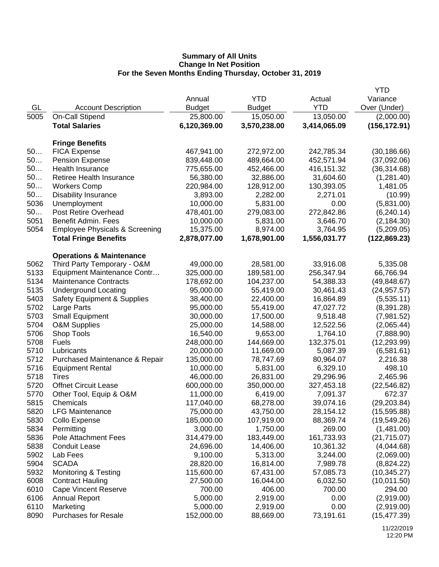|          |                                                   |                         |               |              | YTD           |
|----------|---------------------------------------------------|-------------------------|---------------|--------------|---------------|
|          |                                                   | Annual                  | <b>YTD</b>    | Actual       | Variance      |
| GL       | <b>Account Description</b>                        | <b>Budget</b>           | <b>Budget</b> | <b>YTD</b>   | Over (Under)  |
| 5005     | On-Call Stipend                                   | 25,800.00               | 15,050.00     | 13,050.00    | (2,000.00)    |
|          | <b>Total Salaries</b>                             | 6,120,369.00            | 3,570,238.00  | 3,414,065.09 | (156, 172.91) |
|          |                                                   |                         |               |              |               |
| 50       | <b>Fringe Benefits</b>                            |                         |               |              |               |
| 50       | <b>FICA Expense</b>                               | 467,941.00              | 272,972.00    | 242,785.34   | (30, 186.66)  |
|          | <b>Pension Expense</b><br><b>Health Insurance</b> | 839,448.00              | 489,664.00    | 452,571.94   | (37,092.06)   |
| 50<br>50 |                                                   | 775,655.00<br>56,380.00 | 452,466.00    | 416,151.32   | (36, 314.68)  |
| 50       | Retiree Health Insurance                          | 220,984.00              | 32,886.00     | 31,604.60    | (1,281.40)    |
|          | <b>Workers Comp</b>                               |                         | 128,912.00    | 130,393.05   | 1,481.05      |
| 50       | <b>Disability Insurance</b>                       | 3,893.00                | 2,282.00      | 2,271.01     | (10.99)       |
| 5036     | Unemployment                                      | 10,000.00               | 5,831.00      | 0.00         | (5,831.00)    |
| 50       | Post Retire Overhead                              | 478,401.00              | 279,083.00    | 272,842.86   | (6, 240.14)   |
| 5051     | Benefit Admin. Fees                               | 10,000.00               | 5,831.00      | 3,646.70     | (2, 184.30)   |
| 5054     | <b>Employee Physicals &amp; Screening</b>         | 15,375.00               | 8,974.00      | 3,764.95     | (5,209.05)    |
|          | <b>Total Fringe Benefits</b>                      | 2,878,077.00            | 1,678,901.00  | 1,556,031.77 | (122, 869.23) |
|          | <b>Operations &amp; Maintenance</b>               |                         |               |              |               |
| 5062     | Third Party Temporary - O&M                       | 49,000.00               | 28,581.00     | 33,916.08    | 5,335.08      |
| 5133     | Equipment Maintenance Contr                       | 325,000.00              | 189,581.00    | 256,347.94   | 66,766.94     |
| 5134     | <b>Maintenance Contracts</b>                      | 178,692.00              | 104,237.00    | 54,388.33    | (49, 848.67)  |
| 5135     | <b>Underground Locating</b>                       | 95,000.00               | 55,419.00     | 30,461.43    | (24, 957.57)  |
| 5403     | <b>Safety Equipment &amp; Supplies</b>            | 38,400.00               | 22,400.00     | 16,864.89    | (5,535.11)    |
| 5702     | Large Parts                                       | 95,000.00               | 55,419.00     | 47,027.72    | (8,391.28)    |
| 5703     | <b>Small Equipment</b>                            | 30,000.00               | 17,500.00     | 9,518.48     | (7,981.52)    |
| 5704     | <b>O&amp;M Supplies</b>                           | 25,000.00               | 14,588.00     | 12,522.56    | (2,065.44)    |
| 5706     | Shop Tools                                        | 16,540.00               | 9,653.00      | 1,764.10     | (7,888.90)    |
| 5708     | <b>Fuels</b>                                      | 248,000.00              | 144,669.00    | 132,375.01   | (12, 293.99)  |
| 5710     | Lubricants                                        | 20,000.00               | 11,669.00     | 5,087.39     | (6,581.61)    |
| 5712     | Purchased Maintenance & Repair                    | 135,000.00              | 78,747.69     | 80,964.07    | 2,216.38      |
| 5716     | <b>Equipment Rental</b>                           | 10,000.00               | 5,831.00      | 6,329.10     | 498.10        |
| 5718     | Tires                                             | 46,000.00               | 26,831.00     | 29,296.96    | 2,465.96      |
| 5720     | <b>Offnet Circuit Lease</b>                       | 600,000.00              | 350,000.00    | 327,453.18   | (22, 546.82)  |
| 5770     | Other Tool, Equip & O&M                           | 11,000.00               | 6,419.00      | 7,091.37     | 672.37        |
| 5815     | Chemicals                                         | 117,040.00              | 68,278.00     | 39,074.16    | (29, 203.84)  |
| 5820     | <b>LFG Maintenance</b>                            | 75,000.00               | 43,750.00     | 28,154.12    | (15,595.88)   |
| 5830     | Collo Expense                                     | 185,000.00              | 107,919.00    | 88,369.74    | (19, 549.26)  |
| 5834     | Permitting                                        | 3,000.00                | 1,750.00      | 269.00       | (1,481.00)    |
| 5836     | Pole Attachment Fees                              | 314,479.00              | 183,449.00    | 161,733.93   | (21, 715.07)  |
| 5838     | <b>Conduit Lease</b>                              | 24,696.00               | 14,406.00     | 10,361.32    | (4,044.68)    |
| 5902     | Lab Fees                                          | 9,100.00                | 5,313.00      | 3,244.00     | (2,069.00)    |
| 5904     | <b>SCADA</b>                                      | 28,820.00               | 16,814.00     | 7,989.78     | (8,824.22)    |
| 5932     | Monitoring & Testing                              | 115,600.00              | 67,431.00     | 57,085.73    | (10, 345.27)  |
| 6008     | <b>Contract Hauling</b>                           | 27,500.00               | 16,044.00     | 6,032.50     | (10,011.50)   |
| 6010     | <b>Cape Vincent Reserve</b>                       | 700.00                  | 406.00        | 700.00       | 294.00        |
| 6106     | <b>Annual Report</b>                              | 5,000.00                | 2,919.00      | 0.00         | (2,919.00)    |
| 6110     | Marketing                                         | 5,000.00                | 2,919.00      | 0.00         | (2,919.00)    |
| 8090     | <b>Purchases for Resale</b>                       | 152,000.00              | 88,669.00     | 73,191.61    | (15, 477.39)  |
|          |                                                   |                         |               |              |               |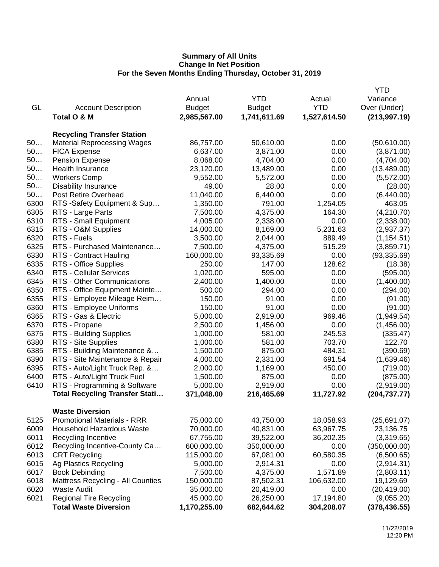|      |                                          |                  |                 |              | <b>YTD</b>    |
|------|------------------------------------------|------------------|-----------------|--------------|---------------|
|      |                                          | Annual           | <b>YTD</b>      | Actual       | Variance      |
| GL   | <b>Account Description</b>               | <b>Budget</b>    | <b>Budget</b>   | <b>YTD</b>   | Over (Under)  |
|      | Total O & M                              | 2,985,567.00     | 1,741,611.69    | 1,527,614.50 | (213, 997.19) |
|      | <b>Recycling Transfer Station</b>        |                  |                 |              |               |
| 50   | <b>Material Reprocessing Wages</b>       | 86,757.00        | 50,610.00       | 0.00         | (50,610.00)   |
| 50   | <b>FICA Expense</b>                      | 6,637.00         | 3,871.00        | 0.00         | (3,871.00)    |
| 50   | <b>Pension Expense</b>                   | 8,068.00         | 4,704.00        | 0.00         | (4,704.00)    |
| 50   | Health Insurance                         | 23,120.00        | 13,489.00       | 0.00         | (13, 489.00)  |
| 50   | <b>Workers Comp</b>                      | 9,552.00         | 5,572.00        | 0.00         | (5,572.00)    |
| 50   | <b>Disability Insurance</b>              | 49.00            | 28.00           | 0.00         | (28.00)       |
| 50   | Post Retire Overhead                     | 11,040.00        | 6,440.00        | 0.00         | (6,440.00)    |
| 6300 | RTS -Safety Equipment & Sup              | 1,350.00         | 791.00          | 1,254.05     | 463.05        |
| 6305 | RTS - Large Parts                        | 7,500.00         | 4,375.00        | 164.30       | (4,210.70)    |
| 6310 | RTS - Small Equipment                    | 4,005.00         | 2,338.00        | 0.00         | (2,338.00)    |
| 6315 | RTS - O&M Supplies                       | 14,000.00        | 8,169.00        | 5,231.63     | (2,937.37)    |
| 6320 | RTS - Fuels                              | 3,500.00         | 2,044.00        | 889.49       | (1, 154.51)   |
| 6325 | RTS - Purchased Maintenance              | 7,500.00         | 4,375.00        | 515.29       | (3,859.71)    |
| 6330 | <b>RTS - Contract Hauling</b>            | 160,000.00       | 93,335.69       | 0.00         | (93, 335.69)  |
| 6335 | RTS - Office Supplies                    | 250.00           | 147.00          | 128.62       |               |
| 6340 | <b>RTS - Cellular Services</b>           | 1,020.00         | 595.00          | 0.00         | (18.38)       |
| 6345 | RTS - Other Communications               | 2,400.00         | 1,400.00        | 0.00         | (595.00)      |
|      |                                          |                  |                 | 0.00         | (1,400.00)    |
| 6350 | RTS - Office Equipment Mainte            | 500.00<br>150.00 | 294.00<br>91.00 | 0.00         | (294.00)      |
| 6355 | RTS - Employee Mileage Reim              | 150.00           |                 | 0.00         | (91.00)       |
| 6360 | RTS - Employee Uniforms                  |                  | 91.00           |              | (91.00)       |
| 6365 | RTS - Gas & Electric                     | 5,000.00         | 2,919.00        | 969.46       | (1,949.54)    |
| 6370 | RTS - Propane                            | 2,500.00         | 1,456.00        | 0.00         | (1,456.00)    |
| 6375 | RTS - Building Supplies                  | 1,000.00         | 581.00          | 245.53       | (335.47)      |
| 6380 | RTS - Site Supplies                      | 1,000.00         | 581.00          | 703.70       | 122.70        |
| 6385 | RTS - Building Maintenance &             | 1,500.00         | 875.00          | 484.31       | (390.69)      |
| 6390 | RTS - Site Maintenance & Repair          | 4,000.00         | 2,331.00        | 691.54       | (1,639.46)    |
| 6395 | RTS - Auto/Light Truck Rep. &            | 2,000.00         | 1,169.00        | 450.00       | (719.00)      |
| 6400 | RTS - Auto/Light Truck Fuel              | 1,500.00         | 875.00          | 0.00         | (875.00)      |
| 6410 | RTS - Programming & Software             | 5,000.00         | 2,919.00        | 0.00         | (2,919.00)    |
|      | <b>Total Recycling Transfer Stati</b>    | 371,048.00       | 216,465.69      | 11,727.92    | (204, 737.77) |
|      | <b>Waste Diversion</b>                   |                  |                 |              |               |
| 5125 | <b>Promotional Materials - RRR</b>       | 75,000.00        | 43,750.00       | 18,058.93    | (25,691.07)   |
| 6009 | Household Hazardous Waste                | 70,000.00        | 40,831.00       | 63,967.75    | 23,136.75     |
| 6011 | Recycling Incentive                      | 67,755.00        | 39,522.00       | 36,202.35    | (3,319.65)    |
| 6012 | Recycling Incentive-County Ca            | 600,000.00       | 350,000.00      | 0.00         | (350,000.00)  |
| 6013 | <b>CRT Recycling</b>                     | 115,000.00       | 67,081.00       | 60,580.35    | (6,500.65)    |
| 6015 | Ag Plastics Recycling                    | 5,000.00         | 2,914.31        | 0.00         | (2,914.31)    |
| 6017 | <b>Book Debinding</b>                    | 7,500.00         | 4,375.00        | 1,571.89     | (2,803.11)    |
| 6018 | <b>Mattress Recycling - All Counties</b> | 150,000.00       | 87,502.31       | 106,632.00   | 19,129.69     |
| 6020 | <b>Waste Audit</b>                       | 35,000.00        | 20,419.00       | 0.00         | (20, 419.00)  |
| 6021 | <b>Regional Tire Recycling</b>           | 45,000.00        | 26,250.00       | 17,194.80    | (9,055.20)    |
|      | <b>Total Waste Diversion</b>             | 1,170,255.00     | 682,644.62      | 304,208.07   | (378, 436.55) |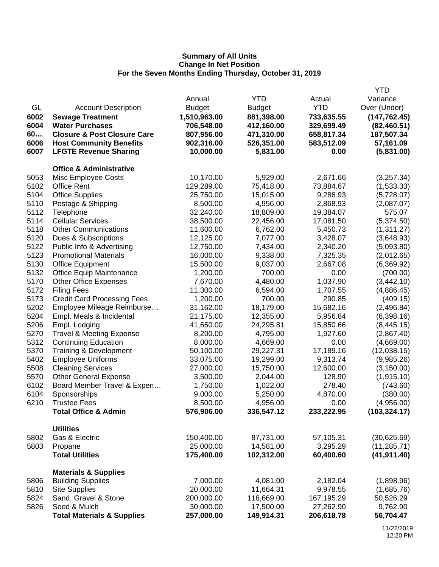|      |                                        |               |               |            | <b>YTD</b>    |
|------|----------------------------------------|---------------|---------------|------------|---------------|
|      |                                        | Annual        | <b>YTD</b>    | Actual     | Variance      |
| GL   | <b>Account Description</b>             | <b>Budget</b> | <b>Budget</b> | <b>YTD</b> | Over (Under)  |
| 6002 | <b>Sewage Treatment</b>                | 1,510,963.00  | 881,398.00    | 733,635.55 | (147, 762.45) |
| 6004 | <b>Water Purchases</b>                 | 706,548.00    | 412,160.00    | 329,699.49 | (82, 460.51)  |
| 60   | <b>Closure &amp; Post Closure Care</b> | 807,956.00    | 471,310.00    | 658,817.34 | 187,507.34    |
| 6006 | <b>Host Community Benefits</b>         | 902,316.00    | 526,351.00    | 583,512.09 | 57,161.09     |
| 6007 | <b>LFGTE Revenue Sharing</b>           | 10,000.00     | 5,831.00      | 0.00       | (5,831.00)    |
|      | <b>Office &amp; Administrative</b>     |               |               |            |               |
| 5053 | Misc Employee Costs                    | 10,170.00     | 5,929.00      | 2,671.66   | (3,257.34)    |
| 5102 | <b>Office Rent</b>                     | 129,289.00    | 75,418.00     | 73,884.67  | (1,533.33)    |
| 5104 | <b>Office Supplies</b>                 | 25,750.00     | 15,015.00     | 9,286.93   | (5,728.07)    |
| 5110 | Postage & Shipping                     | 8,500.00      | 4,956.00      | 2,868.93   | (2,087.07)    |
| 5112 | Telephone                              | 32,240.00     | 18,809.00     | 19,384.07  | 575.07        |
| 5114 | <b>Cellular Services</b>               | 38,500.00     | 22,456.00     | 17,081.50  | (5,374.50)    |
| 5118 | <b>Other Communications</b>            | 11,600.00     | 6,762.00      | 5,450.73   | (1,311.27)    |
| 5120 | Dues & Subscriptions                   | 12,125.00     | 7,077.00      | 3,428.07   | (3,648.93)    |
| 5122 | Public Info & Advertising              | 12,750.00     | 7,434.00      | 2,340.20   | (5,093.80)    |
| 5123 | <b>Promotional Materials</b>           | 16,000.00     | 9,338.00      | 7,325.35   | (2,012.65)    |
| 5130 | <b>Office Equipment</b>                | 15,500.00     | 9,037.00      | 2,667.08   | (6,369.92)    |
| 5132 | <b>Office Equip Maintenance</b>        | 1,200.00      | 700.00        | 0.00       | (700.00)      |
| 5170 | <b>Other Office Expenses</b>           | 7,670.00      | 4,480.00      | 1,037.90   | (3,442.10)    |
| 5172 | <b>Filing Fees</b>                     | 11,300.00     | 6,594.00      | 1,707.55   | (4,886.45)    |
| 5173 | <b>Credit Card Processing Fees</b>     | 1,200.00      | 700.00        | 290.85     | (409.15)      |
| 5202 | Employee Mileage Reimburse             | 31,162.00     | 18,179.00     | 15,682.16  | (2,496.84)    |
| 5204 | Empl. Meals & Incidental               | 21,175.00     | 12,355.00     | 5,956.84   | (6,398.16)    |
| 5206 | Empl. Lodging                          | 41,650.00     | 24,295.81     | 15,850.66  | (8,445.15)    |
| 5270 | <b>Travel &amp; Meeting Expense</b>    | 8,200.00      | 4,795.00      | 1,927.60   | (2,867.40)    |
| 5312 | <b>Continuing Education</b>            | 8,000.00      | 4,669.00      | 0.00       | (4,669.00)    |
| 5370 | Training & Development                 | 50,100.00     | 29,227.31     | 17,189.16  | (12,038.15)   |
| 5402 | <b>Employee Uniforms</b>               | 33,075.00     | 19,299.00     | 9,313.74   | (9,985.26)    |
| 5508 | <b>Cleaning Services</b>               | 27,000.00     | 15,750.00     | 12,600.00  | (3, 150.00)   |
| 5570 | <b>Other General Expense</b>           | 3,500.00      | 2,044.00      | 128.90     | (1,915.10)    |
| 6102 | Board Member Travel & Expen            | 1,750.00      | 1,022.00      | 278.40     | (743.60)      |
| 6104 | Sponsorships                           | 9,000.00      | 5,250.00      | 4,870.00   | (380.00)      |
| 6210 | <b>Trustee Fees</b>                    | 8,500.00      | 4,956.00      | 0.00       | (4,956.00)    |
|      | <b>Total Office &amp; Admin</b>        | 576,906.00    | 336,547.12    | 233,222.95 | (103, 324.17) |
|      | <b>Utilities</b>                       |               |               |            |               |
| 5802 | Gas & Electric                         | 150,400.00    | 87,731.00     | 57,105.31  | (30,625.69)   |
| 5803 | Propane                                | 25,000.00     | 14,581.00     | 3,295.29   | (11, 285.71)  |
|      | <b>Total Utilities</b>                 | 175,400.00    | 102,312.00    | 60,400.60  | (41, 911.40)  |
|      | <b>Materials &amp; Supplies</b>        |               |               |            |               |
| 5806 | <b>Building Supplies</b>               | 7,000.00      | 4,081.00      | 2,182.04   | (1,898.96)    |
| 5810 | <b>Site Supplies</b>                   | 20,000.00     | 11,664.31     | 9,978.55   | (1,685.76)    |
| 5824 | Sand, Gravel & Stone                   | 200,000.00    | 116,669.00    | 167,195.29 | 50,526.29     |
| 5826 | Seed & Mulch                           | 30,000.00     | 17,500.00     | 27,262.90  | 9,762.90      |
|      | <b>Total Materials &amp; Supplies</b>  | 257,000.00    | 149,914.31    | 206,618.78 | 56,704.47     |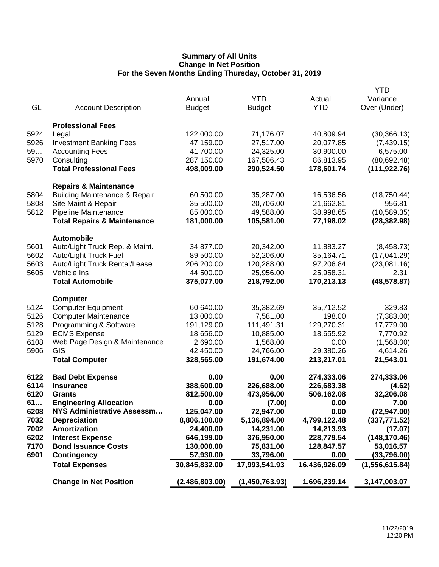|      |                                          |                |                |               | YTD              |
|------|------------------------------------------|----------------|----------------|---------------|------------------|
|      |                                          | Annual         | <b>YTD</b>     | Actual        | Variance         |
| GL   | <b>Account Description</b>               | <b>Budget</b>  | <b>Budget</b>  | <b>YTD</b>    | Over (Under)     |
|      |                                          |                |                |               |                  |
|      | <b>Professional Fees</b>                 |                |                |               |                  |
| 5924 | Legal                                    | 122,000.00     | 71,176.07      | 40,809.94     | (30, 366.13)     |
| 5926 | <b>Investment Banking Fees</b>           | 47,159.00      | 27,517.00      | 20,077.85     | (7,439.15)       |
| 59   | <b>Accounting Fees</b>                   | 41,700.00      | 24,325.00      | 30,900.00     | 6,575.00         |
| 5970 | Consulting                               | 287,150.00     | 167,506.43     | 86,813.95     | (80, 692.48)     |
|      | <b>Total Professional Fees</b>           | 498,009.00     | 290,524.50     | 178,601.74    | (111, 922.76)    |
|      |                                          |                |                |               |                  |
|      | <b>Repairs &amp; Maintenance</b>         |                |                |               |                  |
| 5804 | <b>Building Maintenance &amp; Repair</b> | 60,500.00      | 35,287.00      | 16,536.56     | (18, 750.44)     |
| 5808 | Site Maint & Repair                      | 35,500.00      | 20,706.00      | 21,662.81     | 956.81           |
| 5812 | Pipeline Maintenance                     | 85,000.00      | 49,588.00      | 38,998.65     | (10, 589.35)     |
|      | <b>Total Repairs &amp; Maintenance</b>   | 181,000.00     | 105,581.00     | 77,198.02     | (28, 382.98)     |
|      |                                          |                |                |               |                  |
|      | <b>Automobile</b>                        |                |                |               |                  |
| 5601 | Auto/Light Truck Rep. & Maint.           | 34,877.00      | 20,342.00      | 11,883.27     | (8,458.73)       |
| 5602 | Auto/Light Truck Fuel                    | 89,500.00      | 52,206.00      | 35,164.71     | (17,041.29)      |
| 5603 | Auto/Light Truck Rental/Lease            | 206,200.00     | 120,288.00     | 97,206.84     | (23,081.16)      |
| 5605 | Vehicle Ins                              | 44,500.00      | 25,956.00      | 25,958.31     | 2.31             |
|      | <b>Total Automobile</b>                  | 375,077.00     | 218,792.00     | 170,213.13    | (48, 578.87)     |
|      |                                          |                |                |               |                  |
|      | <b>Computer</b>                          |                |                |               |                  |
| 5124 | <b>Computer Equipment</b>                | 60,640.00      | 35,382.69      | 35,712.52     | 329.83           |
| 5126 | <b>Computer Maintenance</b>              | 13,000.00      | 7,581.00       | 198.00        | (7,383.00)       |
| 5128 | Programming & Software                   | 191,129.00     | 111,491.31     | 129,270.31    | 17,779.00        |
| 5129 | <b>ECMS Expense</b>                      | 18,656.00      | 10,885.00      | 18,655.92     | 7,770.92         |
| 6108 | Web Page Design & Maintenance            | 2,690.00       | 1,568.00       | 0.00          | (1,568.00)       |
| 5906 | GIS                                      | 42,450.00      | 24,766.00      | 29,380.26     | 4,614.26         |
|      | <b>Total Computer</b>                    | 328,565.00     | 191,674.00     | 213,217.01    | 21,543.01        |
|      |                                          |                |                |               |                  |
| 6122 | <b>Bad Debt Expense</b>                  | 0.00           | 0.00           | 274,333.06    | 274,333.06       |
| 6114 | <b>Insurance</b>                         | 388,600.00     | 226,688.00     | 226,683.38    | (4.62)           |
| 6120 | <b>Grants</b>                            | 812,500.00     | 473,956.00     | 506,162.08    | 32,206.08        |
| 61   | <b>Engineering Allocation</b>            | 0.00           | (7.00)         | 0.00          | 7.00             |
| 6208 | NYS Administrative Assessm               | 125,047.00     | 72,947.00      | 0.00          | (72, 947.00)     |
| 7032 | <b>Depreciation</b>                      | 8,806,100.00   | 5,136,894.00   | 4,799,122.48  | (337, 771.52)    |
| 7002 | <b>Amortization</b>                      | 24,400.00      | 14,231.00      | 14,213.93     | (17.07)          |
| 6202 | <b>Interest Expense</b>                  | 646,199.00     | 376,950.00     | 228,779.54    | (148, 170.46)    |
| 7170 | <b>Bond Issuance Costs</b>               | 130,000.00     | 75,831.00      | 128,847.57    | 53,016.57        |
| 6901 | <b>Contingency</b>                       | 57,930.00      | 33,796.00      | 0.00          | (33,796.00)      |
|      | <b>Total Expenses</b>                    | 30,845,832.00  | 17,993,541.93  | 16,436,926.09 | (1, 556, 615.84) |
|      | <b>Change in Net Position</b>            | (2,486,803.00) | (1,450,763.93) | 1,696,239.14  | 3,147,003.07     |
|      |                                          |                |                |               |                  |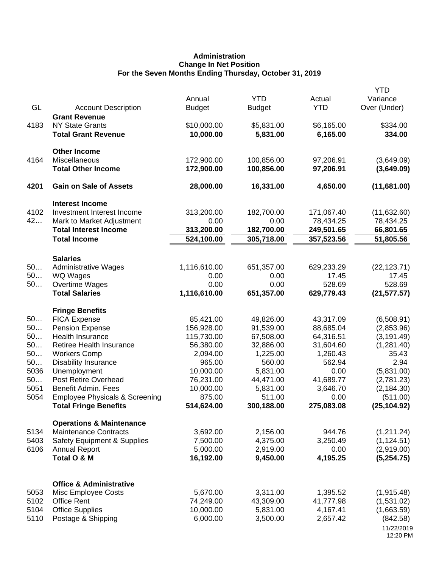# **Administration Change In Net Position For the Seven Months Ending Thursday, October 31, 2019**

| GL         | <b>Account Description</b>                                          | Annual<br><b>Budget</b>  | <b>YTD</b><br><b>Budget</b> | Actual<br><b>YTD</b>     | <b>YTD</b><br>Variance<br>Over (Under) |
|------------|---------------------------------------------------------------------|--------------------------|-----------------------------|--------------------------|----------------------------------------|
|            | <b>Grant Revenue</b>                                                |                          |                             |                          |                                        |
| 4183       | <b>NY State Grants</b>                                              | \$10,000.00              | \$5,831.00                  | \$6,165.00               | \$334.00                               |
|            | <b>Total Grant Revenue</b>                                          | 10,000.00                | 5,831.00                    | 6,165.00                 | 334.00                                 |
|            | <b>Other Income</b>                                                 |                          |                             |                          |                                        |
| 4164       | Miscellaneous                                                       | 172,900.00               | 100,856.00                  | 97,206.91                | (3,649.09)                             |
|            | <b>Total Other Income</b>                                           | 172,900.00               | 100,856.00                  | 97,206.91                | (3,649.09)                             |
| 4201       | <b>Gain on Sale of Assets</b>                                       | 28,000.00                | 16,331.00                   | 4,650.00                 | (11,681.00)                            |
|            | <b>Interest Income</b>                                              |                          |                             |                          |                                        |
| 4102       | Investment Interest Income                                          | 313,200.00               | 182,700.00                  | 171,067.40               | (11, 632.60)                           |
| 42         | Mark to Market Adjustment                                           | 0.00                     | 0.00                        | 78,434.25                | 78,434.25                              |
|            | <b>Total Interest Income</b><br><b>Total Income</b>                 | 313,200.00<br>524,100.00 | 182,700.00<br>305,718.00    | 249,501.65<br>357,523.56 | 66,801.65<br>51,805.56                 |
|            |                                                                     |                          |                             |                          |                                        |
|            | <b>Salaries</b>                                                     |                          |                             |                          |                                        |
| 50         | <b>Administrative Wages</b>                                         | 1,116,610.00             | 651,357.00                  | 629,233.29               | (22, 123.71)                           |
| 50<br>50   | WQ Wages                                                            | 0.00<br>0.00             | 0.00<br>0.00                | 17.45<br>528.69          | 17.45<br>528.69                        |
|            | Overtime Wages<br><b>Total Salaries</b>                             |                          | 651,357.00                  |                          | (21, 577.57)                           |
|            |                                                                     | 1,116,610.00             |                             | 629,779.43               |                                        |
|            | <b>Fringe Benefits</b>                                              |                          |                             |                          |                                        |
| 50         | <b>FICA Expense</b>                                                 | 85,421.00                | 49,826.00                   | 43,317.09                | (6,508.91)                             |
| 50         | <b>Pension Expense</b>                                              | 156,928.00               | 91,539.00                   | 88,685.04                | (2,853.96)                             |
| 50         | <b>Health Insurance</b>                                             | 115,730.00               | 67,508.00                   | 64,316.51                | (3, 191.49)                            |
| 50         | Retiree Health Insurance                                            | 56,380.00                | 32,886.00                   | 31,604.60                | (1,281.40)                             |
| 50         | <b>Workers Comp</b>                                                 | 2,094.00                 | 1,225.00                    | 1,260.43                 | 35.43                                  |
| 50<br>5036 | <b>Disability Insurance</b>                                         | 965.00                   | 560.00                      | 562.94                   | 2.94                                   |
| 50         | Unemployment<br>Post Retire Overhead                                | 10,000.00<br>76,231.00   | 5,831.00<br>44,471.00       | 0.00<br>41,689.77        | (5,831.00)<br>(2,781.23)               |
| 5051       | <b>Benefit Admin. Fees</b>                                          | 10,000.00                | 5,831.00                    | 3,646.70                 | (2, 184.30)                            |
| 5054       | <b>Employee Physicals &amp; Screening</b>                           | 875.00                   | 511.00                      | 0.00                     | (511.00)                               |
|            | <b>Total Fringe Benefits</b>                                        | 514,624.00               | 300,188.00                  | 275,083.08               | (25, 104.92)                           |
|            |                                                                     |                          |                             |                          |                                        |
| 5134       | <b>Operations &amp; Maintenance</b><br><b>Maintenance Contracts</b> | 3,692.00                 | 2,156.00                    | 944.76                   |                                        |
| 5403       | <b>Safety Equipment &amp; Supplies</b>                              | 7,500.00                 | 4,375.00                    | 3,250.49                 | (1,211.24)<br>(1, 124.51)              |
| 6106       | <b>Annual Report</b>                                                | 5,000.00                 | 2,919.00                    | 0.00                     | (2,919.00)                             |
|            | Total O & M                                                         | 16,192.00                | 9,450.00                    | 4,195.25                 | (5,254.75)                             |
|            |                                                                     |                          |                             |                          |                                        |
|            | <b>Office &amp; Administrative</b>                                  |                          |                             |                          |                                        |
| 5053       | Misc Employee Costs                                                 | 5,670.00                 | 3,311.00                    | 1,395.52                 | (1,915.48)                             |
| 5102       | <b>Office Rent</b>                                                  | 74,249.00                | 43,309.00                   | 41,777.98                | (1,531.02)                             |
| 5104       | <b>Office Supplies</b>                                              | 10,000.00                | 5,831.00                    | 4,167.41                 | (1,663.59)                             |
| 5110       | Postage & Shipping                                                  | 6,000.00                 | 3,500.00                    | 2,657.42                 | (842.58)                               |
|            |                                                                     |                          |                             |                          | 11/22/2019<br>12:20 PM                 |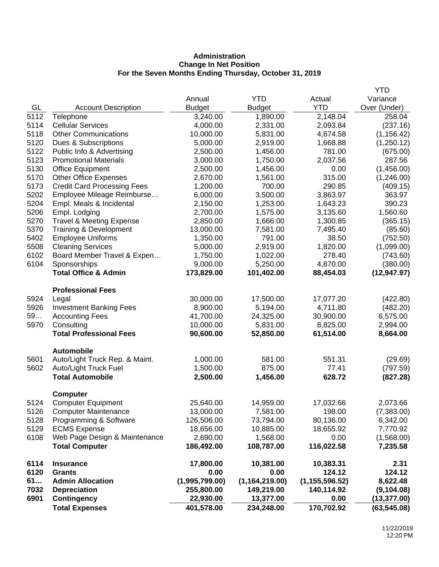# **Administration Change In Net Position For the Seven Months Ending Thursday, October 31, 2019**

|      |                                                       |                        |                        |                  | <b>YTD</b>   |
|------|-------------------------------------------------------|------------------------|------------------------|------------------|--------------|
|      |                                                       | Annual                 | YTD                    | Actual           | Variance     |
| GL   | <b>Account Description</b>                            | <b>Budget</b>          | <b>Budget</b>          | <b>YTD</b>       | Over (Under) |
| 5112 | Telephone                                             | 3,240.00               | 1,890.00               | 2,148.04         | 258.04       |
| 5114 | <b>Cellular Services</b>                              | 4,000.00               | 2,331.00               | 2,093.84         | (237.16)     |
| 5118 | <b>Other Communications</b>                           | 10,000.00              | 5,831.00               | 4,674.58         | (1, 156.42)  |
| 5120 | Dues & Subscriptions                                  | 5,000.00               | 2,919.00               | 1,668.88         | (1,250.12)   |
| 5122 | Public Info & Advertising                             | 2,500.00               | 1,456.00               | 781.00           | (675.00)     |
| 5123 | <b>Promotional Materials</b>                          | 3,000.00               | 1,750.00               | 2,037.56         | 287.56       |
| 5130 | <b>Office Equipment</b>                               | 2,500.00               | 1,456.00               | 0.00             | (1,456.00)   |
| 5170 | <b>Other Office Expenses</b>                          | 2,670.00               | 1,561.00               | 315.00           | (1,246.00)   |
| 5173 | <b>Credit Card Processing Fees</b>                    | 1,200.00               | 700.00                 | 290.85           | (409.15)     |
| 5202 | Employee Mileage Reimburse                            | 6,000.00               | 3,500.00               | 3,863.97         | 363.97       |
| 5204 | Empl. Meals & Incidental                              | 2,150.00               | 1,253.00               | 1,643.23         | 390.23       |
| 5206 | Empl. Lodging                                         | 2,700.00               | 1,575.00               | 3,135.60         | 1,560.60     |
| 5270 | <b>Travel &amp; Meeting Expense</b>                   | 2,850.00               | 1,666.00               | 1,300.85         | (365.15)     |
| 5370 | Training & Development                                | 13,000.00              | 7,581.00               | 7,495.40         | (85.60)      |
| 5402 | <b>Employee Uniforms</b>                              | 1,350.00               | 791.00                 | 38.50            | (752.50)     |
| 5508 | <b>Cleaning Services</b>                              | 5,000.00               | 2,919.00               | 1,820.00         | (1,099.00)   |
| 6102 | Board Member Travel & Expen                           | 1,750.00               | 1,022.00               | 278.40           | (743.60)     |
| 6104 | Sponsorships                                          | 9,000.00               | 5,250.00               | 4,870.00         | (380.00)     |
|      | <b>Total Office &amp; Admin</b>                       | 173,829.00             | 101,402.00             | 88,454.03        | (12, 947.97) |
|      | <b>Professional Fees</b>                              |                        |                        |                  |              |
| 5924 | Legal                                                 | 30,000.00              | 17,500.00              | 17,077.20        | (422.80)     |
| 5926 | <b>Investment Banking Fees</b>                        | 8,900.00               | 5,194.00               | 4,711.80         | (482.20)     |
| 59   | <b>Accounting Fees</b>                                | 41,700.00              | 24,325.00              | 30,900.00        | 6,575.00     |
| 5970 | Consulting                                            | 10,000.00              | 5,831.00               | 8,825.00         | 2,994.00     |
|      | <b>Total Professional Fees</b>                        | 90,600.00              | 52,850.00              | 61,514.00        | 8,664.00     |
|      | <b>Automobile</b>                                     |                        |                        |                  |              |
| 5601 | Auto/Light Truck Rep. & Maint.                        | 1,000.00               | 581.00                 | 551.31           | (29.69)      |
| 5602 | Auto/Light Truck Fuel                                 | 1,500.00               | 875.00                 | 77.41            | (797.59)     |
|      | <b>Total Automobile</b>                               | 2,500.00               | 1,456.00               | 628.72           | (827.28)     |
|      |                                                       |                        |                        |                  |              |
| 5124 | <b>Computer</b><br><b>Computer Equipment</b>          | 25,640.00              | 14,959.00              | 17,032.66        | 2,073.66     |
| 5126 |                                                       |                        | 7,581.00               | 198.00           |              |
|      | <b>Computer Maintenance</b><br>Programming & Software | 13,000.00              | 73,794.00              |                  | (7,383.00)   |
| 5128 |                                                       | 126,506.00             |                        | 80,136.00        | 6,342.00     |
| 5129 | <b>ECMS Expense</b><br>Web Page Design & Maintenance  | 18,656.00              | 10,885.00              | 18,655.92        | 7,770.92     |
| 6108 | <b>Total Computer</b>                                 | 2,690.00<br>186,492.00 | 1,568.00<br>108,787.00 | 0.00             | (1,568.00)   |
|      |                                                       |                        |                        | 116,022.58       | 7,235.58     |
| 6114 | <b>Insurance</b>                                      | 17,800.00              | 10,381.00              | 10,383.31        | 2.31         |
| 6120 | <b>Grants</b>                                         | 0.00                   | 0.00                   | 124.12           | 124.12       |
| 61   | <b>Admin Allocation</b>                               | (1,995,799.00)         | (1, 164, 219.00)       | (1, 155, 596.52) | 8,622.48     |
| 7032 | <b>Depreciation</b>                                   | 255,800.00             | 149,219.00             | 140,114.92       | (9, 104.08)  |
| 6901 | <b>Contingency</b>                                    | 22,930.00              | 13,377.00              | 0.00             | (13, 377.00) |
|      | <b>Total Expenses</b>                                 | 401,578.00             | 234,248.00             | 170,702.92       | (63, 545.08) |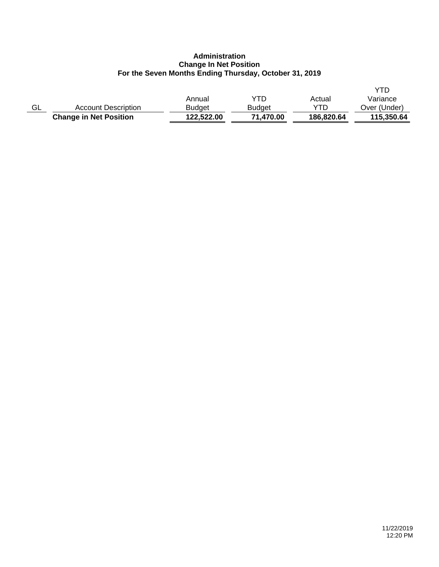# **Administration Change In Net Position For the Seven Months Ending Thursday, October 31, 2019**

|    | <b>Change in Net Position</b> | 122.522.00    | 71,470.00     | 186,820.64 | 115,350.64   |
|----|-------------------------------|---------------|---------------|------------|--------------|
| GL | <b>Account Description</b>    | <b>Budget</b> | <b>Budget</b> | YTD        | Over (Under) |
|    |                               | Annual        | YTD           | Actual     | Variance     |
|    |                               |               |               |            | YTD          |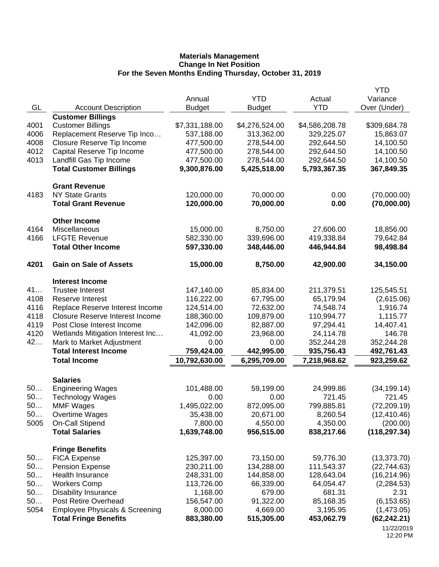|      |                                           |                |                |                | YTD           |
|------|-------------------------------------------|----------------|----------------|----------------|---------------|
|      |                                           | Annual         | <b>YTD</b>     | Actual         | Variance      |
| GL   | <b>Account Description</b>                | <b>Budget</b>  | <b>Budget</b>  | <b>YTD</b>     | Over (Under)  |
|      | <b>Customer Billings</b>                  |                |                |                |               |
| 4001 | <b>Customer Billings</b>                  | \$7,331,188.00 | \$4,276,524.00 | \$4,586,208.78 | \$309,684.78  |
| 4006 | Replacement Reserve Tip Inco              | 537,188.00     | 313,362.00     | 329,225.07     | 15,863.07     |
| 4008 | Closure Reserve Tip Income                | 477,500.00     | 278,544.00     | 292,644.50     | 14,100.50     |
| 4012 | Capital Reserve Tip Income                | 477,500.00     | 278,544.00     | 292,644.50     | 14,100.50     |
| 4013 | Landfill Gas Tip Income                   | 477,500.00     | 278,544.00     | 292,644.50     | 14,100.50     |
|      | <b>Total Customer Billings</b>            | 9,300,876.00   | 5,425,518.00   | 5,793,367.35   | 367,849.35    |
|      | <b>Grant Revenue</b>                      |                |                |                |               |
| 4183 | <b>NY State Grants</b>                    | 120,000.00     | 70,000.00      | 0.00           | (70,000.00)   |
|      | <b>Total Grant Revenue</b>                | 120,000.00     | 70,000.00      | 0.00           | (70,000.00)   |
|      | <b>Other Income</b>                       |                |                |                |               |
| 4164 | Miscellaneous                             | 15,000.00      | 8,750.00       | 27,606.00      | 18,856.00     |
| 4166 | <b>LFGTE Revenue</b>                      | 582,330.00     | 339,696.00     | 419,338.84     | 79,642.84     |
|      | <b>Total Other Income</b>                 | 597,330.00     | 348,446.00     | 446,944.84     | 98,498.84     |
| 4201 | <b>Gain on Sale of Assets</b>             | 15,000.00      | 8,750.00       | 42,900.00      | 34,150.00     |
|      | <b>Interest Income</b>                    |                |                |                |               |
| 41   | <b>Trustee Interest</b>                   | 147,140.00     | 85,834.00      | 211,379.51     | 125,545.51    |
| 4108 | Reserve Interest                          | 116,222.00     | 67,795.00      | 65,179.94      | (2,615.06)    |
| 4116 | Replace Reserve Interest Income           | 124,514.00     | 72,632.00      | 74,548.74      | 1,916.74      |
| 4118 | <b>Closure Reserve Interest Income</b>    | 188,360.00     | 109,879.00     | 110,994.77     | 1,115.77      |
| 4119 | Post Close Interest Income                | 142,096.00     | 82,887.00      | 97,294.41      | 14,407.41     |
| 4120 | Wetlands Mitigation Interest Inc          | 41,092.00      | 23,968.00      | 24,114.78      | 146.78        |
| 42   | Mark to Market Adjustment                 | 0.00           | 0.00           | 352,244.28     | 352,244.28    |
|      | <b>Total Interest Income</b>              | 759,424.00     | 442,995.00     | 935,756.43     | 492,761.43    |
|      | <b>Total Income</b>                       | 10,792,630.00  | 6,295,709.00   | 7,218,968.62   | 923,259.62    |
|      | <b>Salaries</b>                           |                |                |                |               |
| 50   | <b>Engineering Wages</b>                  | 101,488.00     | 59,199.00      | 24,999.86      | (34, 199.14)  |
| 50   | <b>Technology Wages</b>                   | 0.00           | 0.00           | 721.45         | 721.45        |
| 50   | <b>MMF Wages</b>                          | 1,495,022.00   | 872,095.00     | 799,885.81     | (72, 209.19)  |
| 50   | Overtime Wages                            | 35,438.00      | 20,671.00      | 8,260.54       | (12, 410.46)  |
| 5005 | <b>On-Call Stipend</b>                    | 7,800.00       | 4,550.00       | 4,350.00       | (200.00)      |
|      | <b>Total Salaries</b>                     | 1,639,748.00   | 956,515.00     | 838,217.66     | (118, 297.34) |
|      | <b>Fringe Benefits</b>                    |                |                |                |               |
| 50   | <b>FICA Expense</b>                       | 125,397.00     | 73,150.00      | 59,776.30      | (13, 373.70)  |
| 50   | <b>Pension Expense</b>                    | 230,211.00     | 134,288.00     | 111,543.37     | (22, 744.63)  |
| 50   | <b>Health Insurance</b>                   | 248,331.00     | 144,858.00     | 128,643.04     | (16, 214.96)  |
| 50   | <b>Workers Comp</b>                       | 113,726.00     | 66,339.00      | 64,054.47      | (2, 284.53)   |
| 50   | <b>Disability Insurance</b>               | 1,168.00       | 679.00         | 681.31         | 2.31          |
| 50   | Post Retire Overhead                      | 156,547.00     | 91,322.00      | 85,168.35      | (6, 153.65)   |
| 5054 | <b>Employee Physicals &amp; Screening</b> | 8,000.00       | 4,669.00       | 3,195.95       | (1,473.05)    |
|      | <b>Total Fringe Benefits</b>              | 883,380.00     | 515,305.00     | 453,062.79     | (62, 242.21)  |
|      |                                           |                |                |                | 11/22/2019    |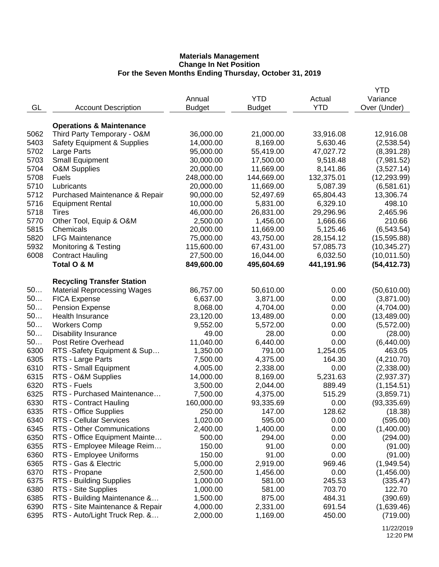|              |                                        |               |               |            | YTD          |
|--------------|----------------------------------------|---------------|---------------|------------|--------------|
|              |                                        | Annual        | <b>YTD</b>    | Actual     | Variance     |
| GL           | <b>Account Description</b>             | <b>Budget</b> | <b>Budget</b> | <b>YTD</b> | Over (Under) |
|              |                                        |               |               |            |              |
|              | <b>Operations &amp; Maintenance</b>    |               |               |            |              |
| 5062         | Third Party Temporary - O&M            | 36,000.00     | 21,000.00     | 33,916.08  | 12,916.08    |
| 5403         | <b>Safety Equipment &amp; Supplies</b> | 14,000.00     | 8,169.00      | 5,630.46   | (2,538.54)   |
| 5702         | Large Parts                            | 95,000.00     | 55,419.00     | 47,027.72  | (8,391.28)   |
| 5703         | <b>Small Equipment</b>                 | 30,000.00     | 17,500.00     | 9,518.48   | (7,981.52)   |
| 5704         | <b>O&amp;M Supplies</b>                | 20,000.00     | 11,669.00     | 8,141.86   | (3,527.14)   |
| 5708         | <b>Fuels</b>                           | 248,000.00    | 144,669.00    | 132,375.01 | (12, 293.99) |
| 5710         | Lubricants                             | 20,000.00     | 11,669.00     | 5,087.39   | (6,581.61)   |
| 5712         | Purchased Maintenance & Repair         | 90,000.00     | 52,497.69     | 65,804.43  | 13,306.74    |
| 5716         | <b>Equipment Rental</b>                | 10,000.00     | 5,831.00      | 6,329.10   | 498.10       |
| 5718         |                                        | 46,000.00     | 26,831.00     |            | 2,465.96     |
| 5770         | <b>Tires</b>                           |               |               | 29,296.96  |              |
|              | Other Tool, Equip & O&M<br>Chemicals   | 2,500.00      | 1,456.00      | 1,666.66   | 210.66       |
| 5815         |                                        | 20,000.00     | 11,669.00     | 5,125.46   | (6, 543.54)  |
| 5820         | <b>LFG Maintenance</b>                 | 75,000.00     | 43,750.00     | 28,154.12  | (15, 595.88) |
| 5932         | <b>Monitoring &amp; Testing</b>        | 115,600.00    | 67,431.00     | 57,085.73  | (10, 345.27) |
| 6008         | <b>Contract Hauling</b>                | 27,500.00     | 16,044.00     | 6,032.50   | (10, 011.50) |
|              | Total O & M                            | 849,600.00    | 495,604.69    | 441,191.96 | (54, 412.73) |
|              |                                        |               |               |            |              |
|              | <b>Recycling Transfer Station</b>      |               |               |            |              |
| 50           | <b>Material Reprocessing Wages</b>     | 86,757.00     | 50,610.00     | 0.00       | (50,610.00)  |
| 50           | <b>FICA Expense</b>                    | 6,637.00      | 3,871.00      | 0.00       | (3,871.00)   |
| 50           | <b>Pension Expense</b>                 | 8,068.00      | 4,704.00      | 0.00       | (4,704.00)   |
| 50           | Health Insurance                       | 23,120.00     | 13,489.00     | 0.00       | (13, 489.00) |
| 50           | <b>Workers Comp</b>                    | 9,552.00      | 5,572.00      | 0.00       | (5,572.00)   |
| 50           | <b>Disability Insurance</b>            | 49.00         | 28.00         | 0.00       | (28.00)      |
| 50           | Post Retire Overhead                   | 11,040.00     | 6,440.00      | 0.00       | (6,440.00)   |
| 6300         | RTS -Safety Equipment & Sup            | 1,350.00      | 791.00        | 1,254.05   | 463.05       |
| 6305         | RTS - Large Parts                      | 7,500.00      | 4,375.00      | 164.30     | (4,210.70)   |
| 6310         | RTS - Small Equipment                  | 4,005.00      | 2,338.00      | 0.00       | (2,338.00)   |
| 6315         | RTS - O&M Supplies                     | 14,000.00     | 8,169.00      | 5,231.63   | (2,937.37)   |
| 6320         | RTS - Fuels                            | 3,500.00      | 2,044.00      | 889.49     | (1, 154.51)  |
| 6325         | RTS - Purchased Maintenance            | 7,500.00      | 4,375.00      | 515.29     | (3,859.71)   |
| 6330         | RTS - Contract Hauling                 | 160,000.00    | 93,335.69     | 0.00       | (93, 335.69) |
| 6335         | RTS - Office Supplies                  | 250.00        | 147.00        | 128.62     | (18.38)      |
| 6340         | <b>RTS - Cellular Services</b>         | 1,020.00      | 595.00        | 0.00       | (595.00)     |
| 6345         | RTS - Other Communications             | 2,400.00      | 1,400.00      | 0.00       | (1,400.00)   |
| 6350         | RTS - Office Equipment Mainte          | 500.00        | 294.00        | 0.00       | (294.00)     |
| 6355         | RTS - Employee Mileage Reim            | 150.00        | 91.00         | 0.00       | (91.00)      |
| 6360         | RTS - Employee Uniforms                | 150.00        | 91.00         | 0.00       | (91.00)      |
| 6365         | RTS - Gas & Electric                   | 5,000.00      | 2,919.00      | 969.46     | (1,949.54)   |
| 6370         | RTS - Propane                          | 2,500.00      | 1,456.00      | 0.00       | (1,456.00)   |
| 6375         | RTS - Building Supplies                | 1,000.00      | 581.00        | 245.53     | (335.47)     |
| 6380         | RTS - Site Supplies                    | 1,000.00      | 581.00        | 703.70     | 122.70       |
| 6385         | RTS - Building Maintenance &           | 1,500.00      | 875.00        | 484.31     | (390.69)     |
|              | RTS - Site Maintenance & Repair        |               |               |            |              |
| 6390<br>6395 | RTS - Auto/Light Truck Rep. &          | 4,000.00      | 2,331.00      | 691.54     | (1,639.46)   |
|              |                                        | 2,000.00      | 1,169.00      | 450.00     | (719.00)     |
|              |                                        |               |               |            |              |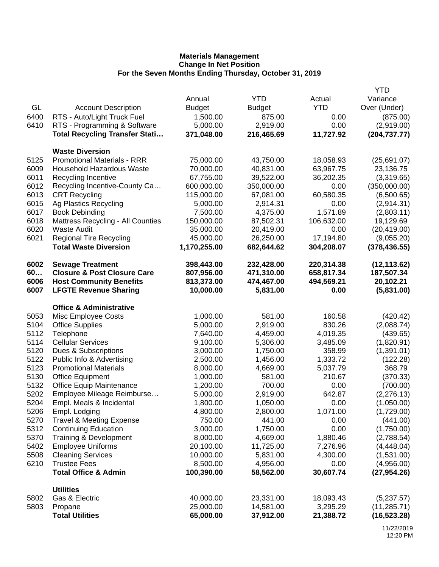|      |                                          |               |               |            | <b>YTD</b>    |
|------|------------------------------------------|---------------|---------------|------------|---------------|
|      |                                          | Annual        | <b>YTD</b>    | Actual     | Variance      |
| GL   | <b>Account Description</b>               | <b>Budget</b> | <b>Budget</b> | <b>YTD</b> | Over (Under)  |
| 6400 | RTS - Auto/Light Truck Fuel              | 1,500.00      | 875.00        | 0.00       | (875.00)      |
| 6410 | RTS - Programming & Software             | 5,000.00      | 2,919.00      | 0.00       | (2,919.00)    |
|      | <b>Total Recycling Transfer Stati</b>    | 371,048.00    | 216,465.69    | 11,727.92  | (204, 737.77) |
|      | <b>Waste Diversion</b>                   |               |               |            |               |
| 5125 | <b>Promotional Materials - RRR</b>       | 75,000.00     | 43,750.00     | 18,058.93  | (25,691.07)   |
| 6009 | <b>Household Hazardous Waste</b>         | 70,000.00     | 40,831.00     | 63,967.75  | 23,136.75     |
| 6011 | Recycling Incentive                      | 67,755.00     | 39,522.00     | 36,202.35  | (3,319.65)    |
| 6012 | Recycling Incentive-County Ca            | 600,000.00    | 350,000.00    | 0.00       | (350,000.00)  |
| 6013 | <b>CRT Recycling</b>                     | 115,000.00    | 67,081.00     | 60,580.35  | (6,500.65)    |
| 6015 | Ag Plastics Recycling                    | 5,000.00      | 2,914.31      | 0.00       | (2,914.31)    |
| 6017 | <b>Book Debinding</b>                    | 7,500.00      | 4,375.00      | 1,571.89   | (2,803.11)    |
| 6018 | <b>Mattress Recycling - All Counties</b> | 150,000.00    | 87,502.31     | 106,632.00 | 19,129.69     |
| 6020 | <b>Waste Audit</b>                       | 35,000.00     | 20,419.00     | 0.00       | (20, 419.00)  |
| 6021 | <b>Regional Tire Recycling</b>           | 45,000.00     | 26,250.00     | 17,194.80  | (9,055.20)    |
|      | <b>Total Waste Diversion</b>             | 1,170,255.00  | 682,644.62    | 304,208.07 | (378, 436.55) |
| 6002 | <b>Sewage Treatment</b>                  | 398,443.00    | 232,428.00    | 220,314.38 | (12, 113.62)  |
| 60   | <b>Closure &amp; Post Closure Care</b>   | 807,956.00    | 471,310.00    | 658,817.34 | 187,507.34    |
| 6006 | <b>Host Community Benefits</b>           | 813,373.00    | 474,467.00    | 494,569.21 | 20,102.21     |
| 6007 | <b>LFGTE Revenue Sharing</b>             | 10,000.00     | 5,831.00      | 0.00       | (5,831.00)    |
|      | <b>Office &amp; Administrative</b>       |               |               |            |               |
| 5053 | Misc Employee Costs                      | 1,000.00      | 581.00        | 160.58     | (420.42)      |
| 5104 | <b>Office Supplies</b>                   | 5,000.00      | 2,919.00      | 830.26     | (2,088.74)    |
| 5112 | Telephone                                | 7,640.00      | 4,459.00      | 4,019.35   | (439.65)      |
| 5114 | <b>Cellular Services</b>                 | 9,100.00      | 5,306.00      | 3,485.09   | (1,820.91)    |
| 5120 | Dues & Subscriptions                     | 3,000.00      | 1,750.00      | 358.99     | (1,391.01)    |
| 5122 | Public Info & Advertising                | 2,500.00      | 1,456.00      | 1,333.72   | (122.28)      |
| 5123 | <b>Promotional Materials</b>             | 8,000.00      | 4,669.00      | 5,037.79   | 368.79        |
| 5130 | <b>Office Equipment</b>                  | 1,000.00      | 581.00        | 210.67     | (370.33)      |
| 5132 | <b>Office Equip Maintenance</b>          | 1,200.00      | 700.00        | 0.00       | (700.00)      |
| 5202 | Employee Mileage Reimburse               | 5,000.00      | 2,919.00      | 642.87     | (2,276.13)    |
| 5204 | Empl. Meals & Incidental                 | 1,800.00      | 1,050.00      | 0.00       | (1,050.00)    |
| 5206 | Empl. Lodging                            | 4,800.00      | 2,800.00      | 1,071.00   | (1,729.00)    |
| 5270 | <b>Travel &amp; Meeting Expense</b>      | 750.00        | 441.00        | 0.00       | (441.00)      |
| 5312 | <b>Continuing Education</b>              | 3,000.00      | 1,750.00      | 0.00       | (1,750.00)    |
| 5370 | Training & Development                   | 8,000.00      | 4,669.00      | 1,880.46   | (2,788.54)    |
| 5402 | <b>Employee Uniforms</b>                 | 20,100.00     | 11,725.00     | 7,276.96   | (4,448.04)    |
| 5508 | <b>Cleaning Services</b>                 | 10,000.00     | 5,831.00      | 4,300.00   | (1,531.00)    |
| 6210 | <b>Trustee Fees</b>                      | 8,500.00      | 4,956.00      | 0.00       | (4,956.00)    |
|      | <b>Total Office &amp; Admin</b>          | 100,390.00    | 58,562.00     | 30,607.74  | (27, 954.26)  |
|      | <b>Utilities</b>                         |               |               |            |               |
| 5802 | Gas & Electric                           | 40,000.00     | 23,331.00     | 18,093.43  | (5,237.57)    |
| 5803 | Propane                                  | 25,000.00     | 14,581.00     | 3,295.29   | (11, 285.71)  |
|      | <b>Total Utilities</b>                   | 65,000.00     | 37,912.00     | 21,388.72  | (16, 523.28)  |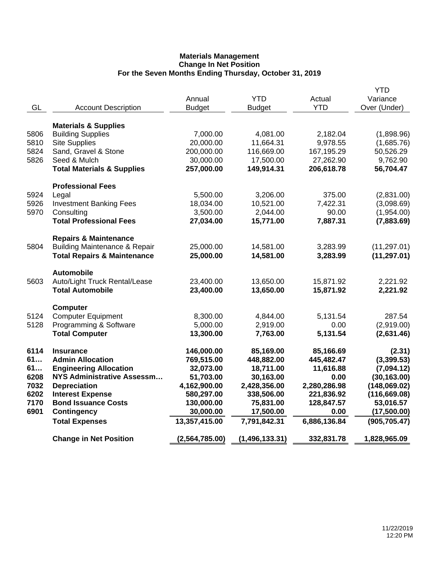|      |                                          |                |                  |                      | <b>YTD</b>    |
|------|------------------------------------------|----------------|------------------|----------------------|---------------|
|      |                                          | Annual         | <b>YTD</b>       | Actual<br><b>YTD</b> | Variance      |
| GL   | <b>Account Description</b>               | <b>Budget</b>  | <b>Budget</b>    |                      | Over (Under)  |
|      | <b>Materials &amp; Supplies</b>          |                |                  |                      |               |
| 5806 | <b>Building Supplies</b>                 | 7,000.00       | 4,081.00         | 2,182.04             | (1,898.96)    |
| 5810 | <b>Site Supplies</b>                     | 20,000.00      | 11,664.31        | 9,978.55             | (1,685.76)    |
| 5824 | Sand, Gravel & Stone                     | 200,000.00     | 116,669.00       | 167,195.29           | 50,526.29     |
| 5826 | Seed & Mulch                             | 30,000.00      | 17,500.00        | 27,262.90            | 9,762.90      |
|      | <b>Total Materials &amp; Supplies</b>    | 257,000.00     | 149,914.31       | 206,618.78           | 56,704.47     |
|      | <b>Professional Fees</b>                 |                |                  |                      |               |
| 5924 | Legal                                    | 5,500.00       | 3,206.00         | 375.00               | (2,831.00)    |
| 5926 | <b>Investment Banking Fees</b>           | 18,034.00      | 10,521.00        | 7,422.31             | (3,098.69)    |
| 5970 | Consulting                               | 3,500.00       | 2,044.00         | 90.00                | (1,954.00)    |
|      | <b>Total Professional Fees</b>           | 27,034.00      | 15,771.00        | 7,887.31             | (7,883.69)    |
|      | <b>Repairs &amp; Maintenance</b>         |                |                  |                      |               |
| 5804 | <b>Building Maintenance &amp; Repair</b> | 25,000.00      | 14,581.00        | 3,283.99             | (11, 297.01)  |
|      | <b>Total Repairs &amp; Maintenance</b>   | 25,000.00      | 14,581.00        | 3,283.99             | (11, 297.01)  |
|      | <b>Automobile</b>                        |                |                  |                      |               |
| 5603 | Auto/Light Truck Rental/Lease            | 23,400.00      | 13,650.00        | 15,871.92            | 2,221.92      |
|      | <b>Total Automobile</b>                  | 23,400.00      | 13,650.00        | 15,871.92            | 2,221.92      |
|      | Computer                                 |                |                  |                      |               |
| 5124 | <b>Computer Equipment</b>                | 8,300.00       | 4,844.00         | 5,131.54             | 287.54        |
| 5128 | Programming & Software                   | 5,000.00       | 2,919.00         | 0.00                 | (2,919.00)    |
|      | <b>Total Computer</b>                    | 13,300.00      | 7,763.00         | 5,131.54             | (2,631.46)    |
| 6114 | <b>Insurance</b>                         | 146,000.00     | 85,169.00        | 85,166.69            | (2.31)        |
| 61   | <b>Admin Allocation</b>                  | 769,515.00     | 448,882.00       | 445,482.47           | (3, 399.53)   |
| 61   | <b>Engineering Allocation</b>            | 32,073.00      | 18,711.00        | 11,616.88            | (7,094.12)    |
| 6208 | <b>NYS Administrative Assessm</b>        | 51,703.00      | 30,163.00        | 0.00                 | (30, 163.00)  |
| 7032 | <b>Depreciation</b>                      | 4,162,900.00   | 2,428,356.00     | 2,280,286.98         | (148,069.02)  |
| 6202 | <b>Interest Expense</b>                  | 580,297.00     | 338,506.00       | 221,836.92           | (116, 669.08) |
| 7170 | <b>Bond Issuance Costs</b>               | 130,000.00     | 75,831.00        | 128,847.57           | 53,016.57     |
| 6901 | <b>Contingency</b>                       | 30,000.00      | 17,500.00        | 0.00                 | (17,500.00)   |
|      | <b>Total Expenses</b>                    | 13,357,415.00  | 7,791,842.31     | 6,886,136.84         | (905, 705.47) |
|      | <b>Change in Net Position</b>            | (2,564,785.00) | (1, 496, 133.31) | 332,831.78           | 1,828,965.09  |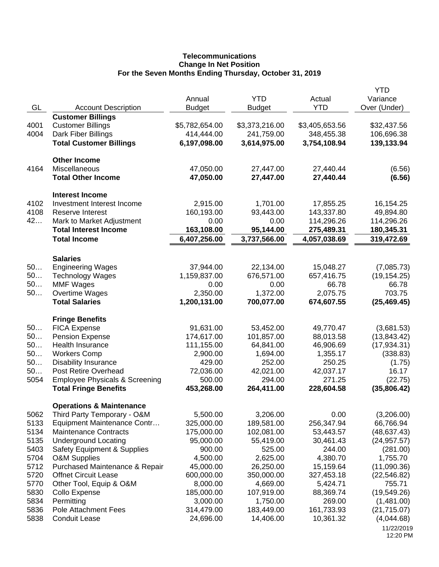# **Telecommunications Change In Net Position For the Seven Months Ending Thursday, October 31, 2019**

| GL       | <b>Account Description</b>                                         | Annual<br><b>Budget</b> | <b>YTD</b><br><b>Budget</b> | Actual<br><b>YTD</b>   | <b>YTD</b><br>Variance<br>Over (Under) |
|----------|--------------------------------------------------------------------|-------------------------|-----------------------------|------------------------|----------------------------------------|
|          | <b>Customer Billings</b>                                           |                         |                             |                        |                                        |
| 4001     | <b>Customer Billings</b>                                           | \$5,782,654.00          | \$3,373,216.00              | \$3,405,653.56         | \$32,437.56                            |
| 4004     | Dark Fiber Billings                                                | 414,444.00              | 241,759.00                  | 348,455.38             | 106,696.38                             |
|          | <b>Total Customer Billings</b>                                     | 6,197,098.00            | 3,614,975.00                | 3,754,108.94           | 139,133.94                             |
|          | <b>Other Income</b>                                                |                         |                             |                        |                                        |
| 4164     | Miscellaneous<br><b>Total Other Income</b>                         | 47,050.00<br>47,050.00  | 27,447.00<br>27,447.00      | 27,440.44<br>27,440.44 | (6.56)<br>(6.56)                       |
|          | <b>Interest Income</b>                                             |                         |                             |                        |                                        |
| 4102     | Investment Interest Income                                         | 2,915.00                | 1,701.00                    | 17,855.25              | 16,154.25                              |
| 4108     | Reserve Interest                                                   | 160,193.00              | 93,443.00                   | 143,337.80             | 49,894.80                              |
| 42       | Mark to Market Adjustment                                          | 0.00                    | 0.00                        | 114,296.26             | 114,296.26                             |
|          | <b>Total Interest Income</b>                                       | 163,108.00              | 95,144.00                   | 275,489.31             | 180,345.31                             |
|          | <b>Total Income</b>                                                | 6,407,256.00            | 3,737,566.00                | 4,057,038.69           | 319,472.69                             |
|          | <b>Salaries</b>                                                    |                         |                             |                        |                                        |
| 50       | <b>Engineering Wages</b>                                           | 37,944.00               | 22,134.00                   | 15,048.27              | (7,085.73)                             |
| 50       | <b>Technology Wages</b>                                            | 1,159,837.00            | 676,571.00                  | 657,416.75             | (19, 154.25)                           |
| 50       | <b>MMF Wages</b>                                                   | 0.00                    | 0.00                        | 66.78                  | 66.78                                  |
| 50       | Overtime Wages                                                     | 2,350.00                | 1,372.00                    | 2,075.75               | 703.75                                 |
|          | <b>Total Salaries</b>                                              | 1,200,131.00            | 700,077.00                  | 674,607.55             | (25, 469.45)                           |
|          | <b>Fringe Benefits</b>                                             |                         |                             |                        |                                        |
| 50       | <b>FICA Expense</b>                                                | 91,631.00               | 53,452.00                   | 49,770.47              | (3,681.53)                             |
| 50       | <b>Pension Expense</b>                                             | 174,617.00              | 101,857.00                  | 88,013.58              | (13, 843.42)                           |
| 50       | Health Insurance                                                   | 111,155.00              | 64,841.00                   | 46,906.69              | (17, 934.31)                           |
| 50       | <b>Workers Comp</b>                                                | 2,900.00                | 1,694.00                    | 1,355.17               | (338.83)                               |
| 50<br>50 | <b>Disability Insurance</b><br>Post Retire Overhead                | 429.00<br>72,036.00     | 252.00                      | 250.25                 | (1.75)<br>16.17                        |
| 5054     | <b>Employee Physicals &amp; Screening</b>                          | 500.00                  | 42,021.00<br>294.00         | 42,037.17<br>271.25    | (22.75)                                |
|          | <b>Total Fringe Benefits</b>                                       | 453,268.00              | 264,411.00                  | 228,604.58             | (35,806.42)                            |
|          |                                                                    |                         |                             |                        |                                        |
| 5062     | <b>Operations &amp; Maintenance</b><br>Third Party Temporary - O&M | 5,500.00                | 3,206.00                    | 0.00                   | (3,206.00)                             |
| 5133     | Equipment Maintenance Contr                                        | 325,000.00              | 189,581.00                  | 256,347.94             | 66,766.94                              |
| 5134     | <b>Maintenance Contracts</b>                                       | 175,000.00              | 102,081.00                  | 53,443.57              | (48, 637.43)                           |
| 5135     | <b>Underground Locating</b>                                        | 95,000.00               | 55,419.00                   | 30,461.43              | (24, 957.57)                           |
| 5403     | <b>Safety Equipment &amp; Supplies</b>                             | 900.00                  | 525.00                      | 244.00                 | (281.00)                               |
| 5704     | <b>O&amp;M Supplies</b>                                            | 4,500.00                | 2,625.00                    | 4,380.70               | 1,755.70                               |
| 5712     | Purchased Maintenance & Repair                                     | 45,000.00               | 26,250.00                   | 15,159.64              | (11,090.36)                            |
| 5720     | <b>Offnet Circuit Lease</b>                                        | 600,000.00              | 350,000.00                  | 327,453.18             | (22, 546.82)                           |
| 5770     | Other Tool, Equip & O&M                                            | 8,000.00                | 4,669.00                    | 5,424.71               | 755.71                                 |
| 5830     | Collo Expense                                                      | 185,000.00              | 107,919.00                  | 88,369.74              | (19, 549.26)                           |
| 5834     | Permitting                                                         | 3,000.00                | 1,750.00                    | 269.00                 | (1,481.00)                             |
| 5836     | Pole Attachment Fees                                               | 314,479.00              | 183,449.00                  | 161,733.93             | (21, 715.07)                           |
| 5838     | <b>Conduit Lease</b>                                               | 24,696.00               | 14,406.00                   | 10,361.32              | (4,044.68)                             |
|          |                                                                    |                         |                             |                        | 11/22/2019<br>12:20 PM                 |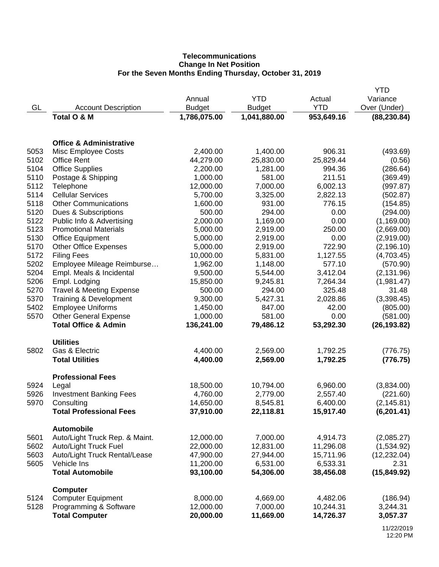# **Telecommunications Change In Net Position For the Seven Months Ending Thursday, October 31, 2019**

|      |                                     |               |               |            | <b>YTD</b>   |
|------|-------------------------------------|---------------|---------------|------------|--------------|
|      |                                     | Annual        | <b>YTD</b>    | Actual     | Variance     |
| GL   | <b>Account Description</b>          | <b>Budget</b> | <b>Budget</b> | <b>YTD</b> | Over (Under) |
|      | Total O & M                         | 1,786,075.00  | 1,041,880.00  | 953,649.16 | (88, 230.84) |
|      |                                     |               |               |            |              |
|      | <b>Office &amp; Administrative</b>  |               |               |            |              |
| 5053 | Misc Employee Costs                 | 2,400.00      | 1,400.00      | 906.31     | (493.69)     |
| 5102 | <b>Office Rent</b>                  | 44,279.00     | 25,830.00     | 25,829.44  | (0.56)       |
| 5104 | <b>Office Supplies</b>              | 2,200.00      | 1,281.00      | 994.36     | (286.64)     |
| 5110 | Postage & Shipping                  | 1,000.00      | 581.00        | 211.51     | (369.49)     |
| 5112 | Telephone                           | 12,000.00     | 7,000.00      | 6,002.13   | (997.87)     |
| 5114 | <b>Cellular Services</b>            | 5,700.00      | 3,325.00      | 2,822.13   | (502.87)     |
| 5118 | <b>Other Communications</b>         | 1,600.00      | 931.00        | 776.15     | (154.85)     |
| 5120 | Dues & Subscriptions                | 500.00        | 294.00        | 0.00       | (294.00)     |
| 5122 | Public Info & Advertising           | 2,000.00      | 1,169.00      | 0.00       | (1, 169.00)  |
| 5123 | <b>Promotional Materials</b>        | 5,000.00      | 2,919.00      | 250.00     | (2,669.00)   |
| 5130 | <b>Office Equipment</b>             | 5,000.00      | 2,919.00      | 0.00       | (2,919.00)   |
| 5170 | <b>Other Office Expenses</b>        | 5,000.00      | 2,919.00      | 722.90     | (2, 196.10)  |
| 5172 | <b>Filing Fees</b>                  | 10,000.00     | 5,831.00      | 1,127.55   | (4,703.45)   |
| 5202 | Employee Mileage Reimburse          | 1,962.00      | 1,148.00      | 577.10     | (570.90)     |
| 5204 | Empl. Meals & Incidental            | 9,500.00      | 5,544.00      | 3,412.04   | (2, 131.96)  |
| 5206 | Empl. Lodging                       | 15,850.00     | 9,245.81      | 7,264.34   | (1,981.47)   |
| 5270 | <b>Travel &amp; Meeting Expense</b> | 500.00        | 294.00        | 325.48     | 31.48        |
| 5370 | Training & Development              | 9,300.00      | 5,427.31      | 2,028.86   | (3,398.45)   |
| 5402 | <b>Employee Uniforms</b>            | 1,450.00      | 847.00        | 42.00      | (805.00)     |
| 5570 | <b>Other General Expense</b>        | 1,000.00      | 581.00        | 0.00       | (581.00)     |
|      | <b>Total Office &amp; Admin</b>     | 136,241.00    | 79,486.12     | 53,292.30  | (26, 193.82) |
|      |                                     |               |               |            |              |
|      | <b>Utilities</b>                    |               |               |            |              |
| 5802 | Gas & Electric                      | 4,400.00      | 2,569.00      | 1,792.25   | (776.75)     |
|      | <b>Total Utilities</b>              | 4,400.00      | 2,569.00      | 1,792.25   | (776.75)     |
|      | <b>Professional Fees</b>            |               |               |            |              |
| 5924 | Legal                               | 18,500.00     | 10,794.00     | 6,960.00   | (3,834.00)   |
| 5926 | <b>Investment Banking Fees</b>      | 4,760.00      | 2,779.00      | 2,557.40   | (221.60)     |
| 5970 | Consulting                          | 14,650.00     | 8,545.81      | 6,400.00   | (2, 145.81)  |
|      | <b>Total Professional Fees</b>      | 37,910.00     | 22,118.81     | 15,917.40  | (6, 201.41)  |
|      | <b>Automobile</b>                   |               |               |            |              |
| 5601 | Auto/Light Truck Rep. & Maint.      | 12,000.00     | 7,000.00      | 4,914.73   | (2,085.27)   |
| 5602 | Auto/Light Truck Fuel               | 22,000.00     | 12,831.00     | 11,296.08  | (1,534.92)   |
| 5603 | Auto/Light Truck Rental/Lease       | 47,900.00     | 27,944.00     | 15,711.96  | (12, 232.04) |
| 5605 | Vehicle Ins                         | 11,200.00     | 6,531.00      | 6,533.31   | 2.31         |
|      | <b>Total Automobile</b>             | 93,100.00     | 54,306.00     | 38,456.08  | (15, 849.92) |
|      | <b>Computer</b>                     |               |               |            |              |
| 5124 | <b>Computer Equipment</b>           | 8,000.00      | 4,669.00      | 4,482.06   | (186.94)     |
| 5128 | Programming & Software              | 12,000.00     | 7,000.00      | 10,244.31  | 3,244.31     |
|      | <b>Total Computer</b>               | 20,000.00     | 11,669.00     | 14,726.37  | 3,057.37     |
|      |                                     |               |               |            |              |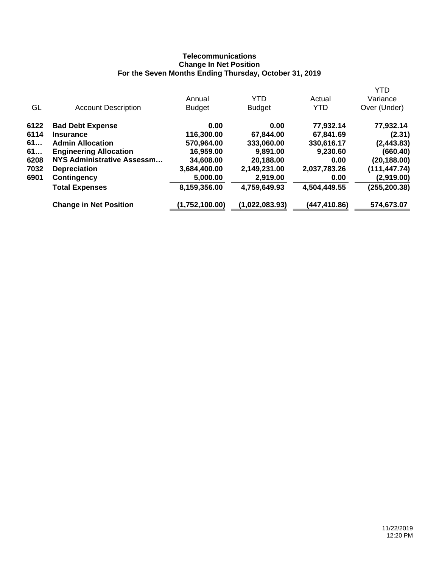# **Telecommunications Change In Net Position For the Seven Months Ending Thursday, October 31, 2019**

|                               |                |                |              | YTD          |
|-------------------------------|----------------|----------------|--------------|--------------|
|                               | Annual         | YTD            | Actual       | Variance     |
| <b>Account Description</b>    | <b>Budget</b>  | <b>Budget</b>  | <b>YTD</b>   | Over (Under) |
| <b>Bad Debt Expense</b>       | 0.00           | 0.00           | 77,932.14    | 77,932.14    |
| <b>Insurance</b>              | 116,300.00     | 67,844.00      | 67,841.69    | (2.31)       |
| <b>Admin Allocation</b>       | 570,964.00     | 333,060.00     | 330,616.17   | (2, 443.83)  |
| <b>Engineering Allocation</b> | 16,959.00      | 9,891.00       | 9,230.60     | (660.40)     |
| NYS Administrative Assessm    | 34,608.00      | 20,188.00      | 0.00         | (20, 188.00) |
| <b>Depreciation</b>           | 3,684,400.00   | 2,149,231.00   | 2,037,783.26 | (111,447.74) |
| <b>Contingency</b>            | 5,000.00       | 2,919.00       | 0.00         | (2,919.00)   |
| <b>Total Expenses</b>         | 8,159,356.00   | 4,759,649.93   | 4,504,449.55 | (255,200.38) |
| <b>Change in Net Position</b> | (1,752,100.00) | (1,022,083.93) | (447,410.86) | 574,673.07   |
|                               |                |                |              |              |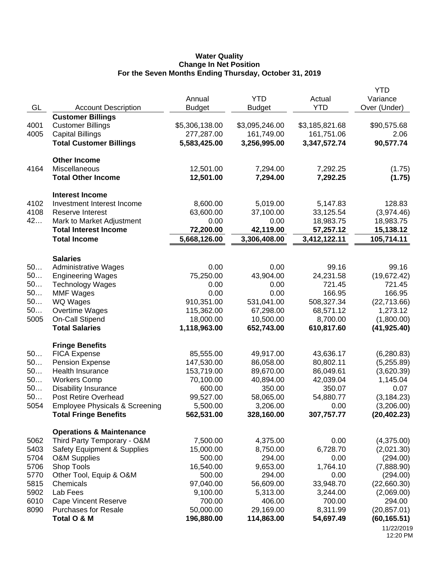### **Water Quality Change In Net Position For the Seven Months Ending Thursday, October 31, 2019**

| GL           | <b>Account Description</b>                    | Annual<br><b>Budget</b> | <b>YTD</b><br><b>Budget</b> | Actual<br><b>YTD</b>   | <b>YTD</b><br>Variance<br>Over (Under) |
|--------------|-----------------------------------------------|-------------------------|-----------------------------|------------------------|----------------------------------------|
|              | <b>Customer Billings</b>                      |                         |                             |                        |                                        |
| 4001         | <b>Customer Billings</b>                      | \$5,306,138.00          | \$3,095,246.00              | \$3,185,821.68         | \$90,575.68                            |
| 4005         | <b>Capital Billings</b>                       | 277,287.00              | 161,749.00                  | 161,751.06             | 2.06                                   |
|              | <b>Total Customer Billings</b>                | 5,583,425.00            | 3,256,995.00                | 3,347,572.74           | 90,577.74                              |
|              | <b>Other Income</b>                           |                         |                             |                        |                                        |
| 4164         | Miscellaneous                                 | 12,501.00               | 7,294.00                    | 7,292.25               | (1.75)                                 |
|              | <b>Total Other Income</b>                     | 12,501.00               | 7,294.00                    | 7,292.25               | (1.75)                                 |
|              | <b>Interest Income</b>                        |                         |                             |                        |                                        |
| 4102         | Investment Interest Income                    | 8,600.00                | 5,019.00                    | 5,147.83               | 128.83                                 |
| 4108         | Reserve Interest                              | 63,600.00               | 37,100.00                   | 33,125.54              | (3,974.46)                             |
| 42           | Mark to Market Adjustment                     | 0.00                    | 0.00                        | 18,983.75              | 18,983.75                              |
|              | <b>Total Interest Income</b>                  | 72,200.00               | 42,119.00                   | 57,257.12              | 15,138.12                              |
|              | <b>Total Income</b>                           | 5,668,126.00            | 3,306,408.00                | 3,412,122.11           | 105,714.11                             |
|              | <b>Salaries</b>                               |                         |                             |                        |                                        |
| 50           | <b>Administrative Wages</b>                   | 0.00                    | 0.00                        | 99.16                  | 99.16                                  |
| 50           | <b>Engineering Wages</b>                      | 75,250.00               | 43,904.00                   | 24,231.58              | (19, 672.42)                           |
| 50           | <b>Technology Wages</b>                       | 0.00                    | 0.00                        | 721.45                 | 721.45                                 |
| 50           | <b>MMF Wages</b>                              | 0.00                    | 0.00                        | 166.95                 | 166.95                                 |
| 50<br>50     | <b>WQ Wages</b>                               | 910,351.00              | 531,041.00                  | 508,327.34             | (22, 713.66)                           |
| 5005         | Overtime Wages<br><b>On-Call Stipend</b>      | 115,362.00<br>18,000.00 | 67,298.00<br>10,500.00      | 68,571.12<br>8,700.00  | 1,273.12<br>(1,800.00)                 |
|              | <b>Total Salaries</b>                         | 1,118,963.00            | 652,743.00                  | 610,817.60             | (41, 925.40)                           |
|              |                                               |                         |                             |                        |                                        |
|              | <b>Fringe Benefits</b>                        |                         |                             |                        |                                        |
| 50<br>50     | <b>FICA Expense</b><br><b>Pension Expense</b> | 85,555.00<br>147,530.00 | 49,917.00<br>86,058.00      | 43,636.17<br>80,802.11 | (6, 280.83)                            |
| 50           | Health Insurance                              | 153,719.00              | 89,670.00                   | 86,049.61              | (5,255.89)<br>(3,620.39)               |
| 50           | <b>Workers Comp</b>                           | 70,100.00               | 40,894.00                   | 42,039.04              | 1,145.04                               |
| 50           | <b>Disability Insurance</b>                   | 600.00                  | 350.00                      | 350.07                 | 0.07                                   |
| 50           | Post Retire Overhead                          | 99,527.00               | 58,065.00                   | 54,880.77              | (3, 184.23)                            |
| 5054         | <b>Employee Physicals &amp; Screening</b>     | 5,500.00                | 3,206.00                    | 0.00                   | (3,206.00)                             |
|              | <b>Total Fringe Benefits</b>                  | 562,531.00              | 328,160.00                  | 307,757.77             | (20, 402.23)                           |
|              | <b>Operations &amp; Maintenance</b>           |                         |                             |                        |                                        |
| 5062         | Third Party Temporary - O&M                   | 7,500.00                | 4,375.00                    | 0.00                   | (4,375.00)                             |
| 5403         | Safety Equipment & Supplies                   | 15,000.00               | 8,750.00                    | 6,728.70               | (2,021.30)                             |
| 5704         | <b>O&amp;M Supplies</b>                       | 500.00                  | 294.00                      | 0.00                   | (294.00)                               |
| 5706         | Shop Tools                                    | 16,540.00               | 9,653.00                    | 1,764.10               | (7,888.90)                             |
| 5770         | Other Tool, Equip & O&M                       | 500.00                  | 294.00                      | 0.00                   | (294.00)                               |
| 5815         | Chemicals                                     | 97,040.00               | 56,609.00                   | 33,948.70              | (22,660.30)                            |
| 5902<br>6010 | Lab Fees<br><b>Cape Vincent Reserve</b>       | 9,100.00<br>700.00      | 5,313.00<br>406.00          | 3,244.00<br>700.00     | (2,069.00)<br>294.00                   |
| 8090         | <b>Purchases for Resale</b>                   | 50,000.00               | 29,169.00                   | 8,311.99               | (20, 857.01)                           |
|              | Total O & M                                   | 196,880.00              | 114,863.00                  | 54,697.49              | (60, 165.51)                           |
|              |                                               |                         |                             |                        | 11/22/2019                             |
|              |                                               |                         |                             |                        | 12:20 PM                               |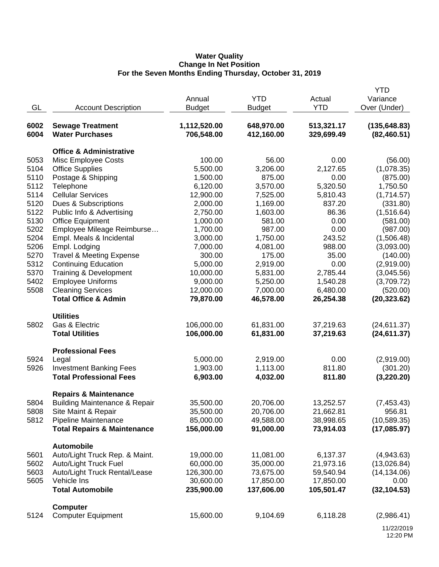## **Water Quality Change In Net Position For the Seven Months Ending Thursday, October 31, 2019**

|      |                                                     |               |               |            | YTD           |
|------|-----------------------------------------------------|---------------|---------------|------------|---------------|
|      |                                                     | Annual        | <b>YTD</b>    | Actual     | Variance      |
| GL   | <b>Account Description</b>                          | <b>Budget</b> | <b>Budget</b> | <b>YTD</b> | Over (Under)  |
|      |                                                     |               |               |            |               |
| 6002 | <b>Sewage Treatment</b>                             | 1,112,520.00  | 648,970.00    | 513,321.17 | (135, 648.83) |
| 6004 | <b>Water Purchases</b>                              | 706,548.00    | 412,160.00    | 329,699.49 | (82, 460.51)  |
|      | <b>Office &amp; Administrative</b>                  |               |               |            |               |
| 5053 | <b>Misc Employee Costs</b>                          | 100.00        | 56.00         | 0.00       | (56.00)       |
| 5104 | <b>Office Supplies</b>                              | 5,500.00      | 3,206.00      | 2,127.65   | (1,078.35)    |
| 5110 | Postage & Shipping                                  | 1,500.00      | 875.00        | 0.00       | (875.00)      |
| 5112 | Telephone                                           | 6,120.00      | 3,570.00      | 5,320.50   | 1,750.50      |
| 5114 | <b>Cellular Services</b>                            | 12,900.00     | 7,525.00      | 5,810.43   | (1,714.57)    |
| 5120 | Dues & Subscriptions                                | 2,000.00      | 1,169.00      | 837.20     | (331.80)      |
| 5122 | Public Info & Advertising                           | 2,750.00      | 1,603.00      | 86.36      | (1,516.64)    |
| 5130 | <b>Office Equipment</b>                             | 1,000.00      | 581.00        | 0.00       | (581.00)      |
| 5202 | Employee Mileage Reimburse                          | 1,700.00      | 987.00        | 0.00       | (987.00)      |
| 5204 | Empl. Meals & Incidental                            | 3,000.00      | 1,750.00      | 243.52     | (1,506.48)    |
| 5206 | Empl. Lodging                                       | 7,000.00      | 4,081.00      | 988.00     | (3,093.00)    |
| 5270 | <b>Travel &amp; Meeting Expense</b>                 | 300.00        | 175.00        | 35.00      | (140.00)      |
| 5312 | <b>Continuing Education</b>                         | 5,000.00      | 2,919.00      | 0.00       | (2,919.00)    |
| 5370 | Training & Development                              | 10,000.00     | 5,831.00      | 2,785.44   | (3,045.56)    |
| 5402 | <b>Employee Uniforms</b>                            | 9,000.00      | 5,250.00      | 1,540.28   | (3,709.72)    |
| 5508 | <b>Cleaning Services</b>                            | 12,000.00     | 7,000.00      | 6,480.00   | (520.00)      |
|      | <b>Total Office &amp; Admin</b>                     | 79,870.00     | 46,578.00     | 26,254.38  | (20, 323.62)  |
|      |                                                     |               |               |            |               |
|      | <b>Utilities</b>                                    |               |               |            |               |
| 5802 | Gas & Electric                                      | 106,000.00    | 61,831.00     | 37,219.63  | (24, 611.37)  |
|      | <b>Total Utilities</b>                              | 106,000.00    | 61,831.00     | 37,219.63  | (24, 611.37)  |
|      | <b>Professional Fees</b>                            |               |               |            |               |
| 5924 |                                                     | 5,000.00      | 2,919.00      | 0.00       | (2,919.00)    |
| 5926 | Legal<br><b>Investment Banking Fees</b>             | 1,903.00      | 1,113.00      | 811.80     | (301.20)      |
|      | <b>Total Professional Fees</b>                      | 6,903.00      |               |            | (3,220.20)    |
|      |                                                     |               | 4,032.00      | 811.80     |               |
|      | <b>Repairs &amp; Maintenance</b>                    |               |               |            |               |
| 5804 | <b>Building Maintenance &amp; Repair</b>            | 35,500.00     | 20,706.00     | 13,252.57  | (7,453.43)    |
| 5808 | Site Maint & Repair                                 | 35,500.00     | 20,706.00     | 21,662.81  | 956.81        |
| 5812 | Pipeline Maintenance                                | 85,000.00     | 49,588.00     | 38,998.65  | (10, 589.35)  |
|      | <b>Total Repairs &amp; Maintenance</b>              | 156,000.00    | 91,000.00     | 73,914.03  | (17,085.97)   |
|      |                                                     |               |               |            |               |
| 5601 | <b>Automobile</b><br>Auto/Light Truck Rep. & Maint. | 19,000.00     | 11,081.00     | 6,137.37   | (4,943.63)    |
| 5602 | Auto/Light Truck Fuel                               | 60,000.00     | 35,000.00     | 21,973.16  | (13,026.84)   |
| 5603 | Auto/Light Truck Rental/Lease                       | 126,300.00    | 73,675.00     | 59,540.94  | (14, 134.06)  |
| 5605 | Vehicle Ins                                         | 30,600.00     | 17,850.00     | 17,850.00  | 0.00          |
|      | <b>Total Automobile</b>                             | 235,900.00    | 137,606.00    | 105,501.47 | (32, 104.53)  |
|      |                                                     |               |               |            |               |
|      | <b>Computer</b>                                     |               |               |            |               |
| 5124 | <b>Computer Equipment</b>                           | 15,600.00     | 9,104.69      | 6,118.28   | (2,986.41)    |
|      |                                                     |               |               |            | 11/22/2010    |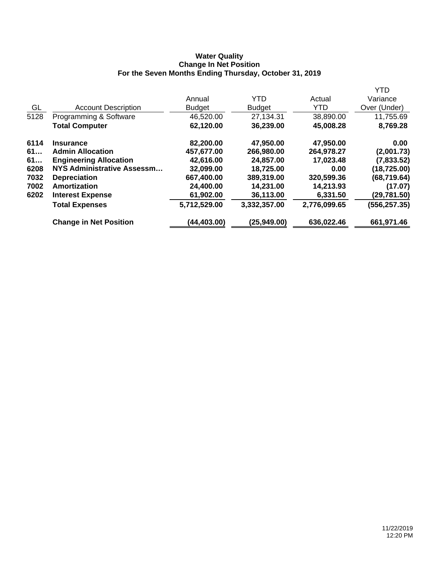## **Water Quality Change In Net Position For the Seven Months Ending Thursday, October 31, 2019**

|      |                               |               |               |              | <b>YTD</b>    |
|------|-------------------------------|---------------|---------------|--------------|---------------|
|      |                               | Annual        | <b>YTD</b>    | Actual       | Variance      |
| GL   | <b>Account Description</b>    | <b>Budget</b> | <b>Budget</b> | YTD          | Over (Under)  |
| 5128 | Programming & Software        | 46,520.00     | 27,134.31     | 38,890.00    | 11,755.69     |
|      | <b>Total Computer</b>         | 62,120.00     | 36,239.00     | 45,008.28    | 8,769.28      |
| 6114 | <b>Insurance</b>              | 82,200.00     | 47,950.00     | 47,950.00    | 0.00          |
| 61   | <b>Admin Allocation</b>       | 457,677.00    | 266,980.00    | 264,978.27   | (2,001.73)    |
| 61   | <b>Engineering Allocation</b> | 42,616.00     | 24,857.00     | 17,023.48    | (7,833.52)    |
| 6208 | NYS Administrative Assessm    | 32,099.00     | 18,725.00     | 0.00         | (18, 725.00)  |
| 7032 | <b>Depreciation</b>           | 667,400.00    | 389,319.00    | 320,599.36   | (68, 719.64)  |
| 7002 | Amortization                  | 24,400.00     | 14,231.00     | 14,213.93    | (17.07)       |
| 6202 | <b>Interest Expense</b>       | 61,902.00     | 36,113.00     | 6,331.50     | (29,781.50)   |
|      | <b>Total Expenses</b>         | 5,712,529.00  | 3,332,357.00  | 2,776,099.65 | (556, 257.35) |
|      | <b>Change in Net Position</b> | (44,403.00)   | (25, 949.00)  | 636,022.46   | 661,971.46    |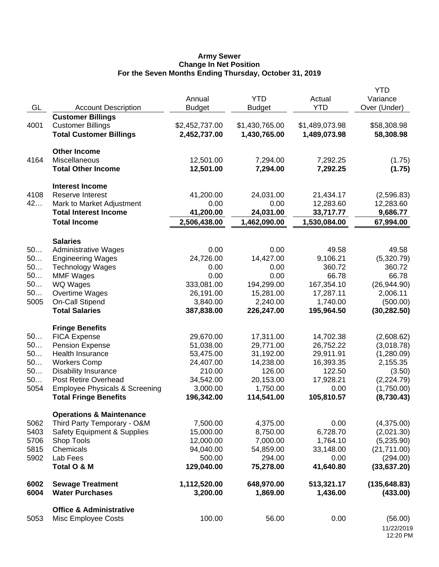### **Army Sewer Change In Net Position For the Seven Months Ending Thursday, October 31, 2019**

|          |                                                                    | Annual                | <b>YTD</b>          | Actual              | <b>YTD</b><br>Variance   |
|----------|--------------------------------------------------------------------|-----------------------|---------------------|---------------------|--------------------------|
| GL       | <b>Account Description</b>                                         | <b>Budget</b>         | <b>Budget</b>       | <b>YTD</b>          | Over (Under)             |
|          | <b>Customer Billings</b>                                           |                       |                     |                     |                          |
| 4001     | <b>Customer Billings</b>                                           | \$2,452,737.00        | \$1,430,765.00      | \$1,489,073.98      | \$58,308.98              |
|          | <b>Total Customer Billings</b>                                     | 2,452,737.00          | 1,430,765.00        | 1,489,073.98        | 58,308.98                |
|          | <b>Other Income</b>                                                |                       |                     |                     |                          |
| 4164     | Miscellaneous                                                      | 12,501.00             | 7,294.00            | 7,292.25            | (1.75)                   |
|          | <b>Total Other Income</b>                                          | 12,501.00             | 7,294.00            | 7,292.25            | (1.75)                   |
|          | <b>Interest Income</b>                                             |                       |                     |                     |                          |
| 4108     | Reserve Interest                                                   | 41,200.00             | 24,031.00           | 21,434.17           | (2,596.83)               |
| 42       | Mark to Market Adjustment                                          | 0.00                  | 0.00                | 12,283.60           | 12,283.60                |
|          | <b>Total Interest Income</b>                                       | 41,200.00             | 24,031.00           | 33,717.77           | 9,686.77                 |
|          | <b>Total Income</b>                                                | 2,506,438.00          | 1,462,090.00        | 1,530,084.00        | 67,994.00                |
|          | <b>Salaries</b>                                                    |                       |                     |                     |                          |
| 50       | <b>Administrative Wages</b>                                        | 0.00                  | 0.00                | 49.58               | 49.58                    |
| 50       | <b>Engineering Wages</b>                                           | 24,726.00             | 14,427.00           | 9,106.21            | (5,320.79)               |
| 50       | <b>Technology Wages</b>                                            | 0.00                  | 0.00                | 360.72              | 360.72                   |
| 50       | <b>MMF Wages</b>                                                   | 0.00                  | 0.00                | 66.78               | 66.78                    |
| 50       | WQ Wages                                                           | 333,081.00            | 194,299.00          | 167,354.10          | (26, 944.90)             |
| 50       | Overtime Wages                                                     | 26,191.00             | 15,281.00           | 17,287.11           | 2,006.11                 |
| 5005     | On-Call Stipend                                                    | 3,840.00              | 2,240.00            | 1,740.00            | (500.00)                 |
|          | <b>Total Salaries</b>                                              | 387,838.00            | 226,247.00          | 195,964.50          | (30, 282.50)             |
|          | <b>Fringe Benefits</b>                                             |                       |                     |                     |                          |
| 50       | <b>FICA Expense</b>                                                | 29,670.00             | 17,311.00           | 14,702.38           | (2,608.62)               |
| 50       | <b>Pension Expense</b>                                             | 51,038.00             | 29,771.00           | 26,752.22           | (3,018.78)               |
| 50       | Health Insurance                                                   | 53,475.00             | 31,192.00           | 29,911.91           | (1,280.09)               |
| 50       | <b>Workers Comp</b>                                                | 24,407.00             | 14,238.00           | 16,393.35           | 2,155.35                 |
| 50<br>50 | <b>Disability Insurance</b><br>Post Retire Overhead                | 210.00                | 126.00<br>20,153.00 | 122.50<br>17,928.21 | (3.50)                   |
| 5054     | <b>Employee Physicals &amp; Screening</b>                          | 34,542.00<br>3,000.00 | 1,750.00            | 0.00                | (2,224.79)<br>(1,750.00) |
|          | <b>Total Fringe Benefits</b>                                       | 196,342.00            | 114,541.00          | 105,810.57          | (8,730.43)               |
|          |                                                                    |                       |                     |                     |                          |
| 5062     | <b>Operations &amp; Maintenance</b><br>Third Party Temporary - O&M |                       | 4,375.00            | 0.00                |                          |
| 5403     | <b>Safety Equipment &amp; Supplies</b>                             | 7,500.00<br>15,000.00 | 8,750.00            | 6,728.70            | (4,375.00)<br>(2,021.30) |
| 5706     | Shop Tools                                                         | 12,000.00             | 7,000.00            | 1,764.10            | (5,235.90)               |
| 5815     | Chemicals                                                          | 94,040.00             | 54,859.00           | 33,148.00           | (21, 711.00)             |
| 5902     | Lab Fees                                                           | 500.00                | 294.00              | 0.00                | (294.00)                 |
|          | Total O & M                                                        | 129,040.00            | 75,278.00           | 41,640.80           | (33, 637.20)             |
| 6002     | <b>Sewage Treatment</b>                                            | 1,112,520.00          | 648,970.00          | 513,321.17          | (135, 648.83)            |
| 6004     | <b>Water Purchases</b>                                             | 3,200.00              | 1,869.00            | 1,436.00            | (433.00)                 |
|          | <b>Office &amp; Administrative</b>                                 |                       |                     |                     |                          |
| 5053     | Misc Employee Costs                                                | 100.00                | 56.00               | 0.00                | (56.00)                  |
|          |                                                                    |                       |                     |                     | 11/22/2019<br>12:20 PM   |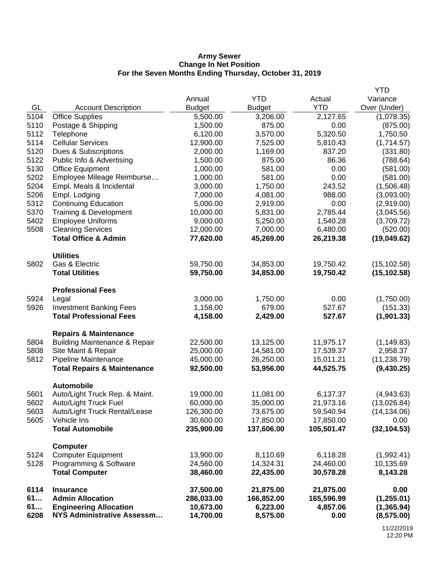### **Army Sewer Change In Net Position For the Seven Months Ending Thursday, October 31, 2019**

|            |                                                             | Annual                  | <b>YTD</b>             | Actual                 | YTD<br>Variance           |
|------------|-------------------------------------------------------------|-------------------------|------------------------|------------------------|---------------------------|
| GL         | <b>Account Description</b>                                  | <b>Budget</b>           | <b>Budget</b>          | <b>YTD</b>             | Over (Under)              |
| 5104       | <b>Office Supplies</b>                                      | 5,500.00                | 3,206.00               | 2,127.65               | (1,078.35)                |
| 5110       | Postage & Shipping                                          | 1,500.00                | 875.00                 | 0.00                   | (875.00)                  |
| 5112       | Telephone                                                   | 6,120.00                | 3,570.00               | 5,320.50               | 1,750.50                  |
| 5114       | <b>Cellular Services</b>                                    | 12,900.00               | 7,525.00               | 5,810.43               | (1,714.57)                |
| 5120       | Dues & Subscriptions                                        | 2,000.00                | 1,169.00               | 837.20                 | (331.80)                  |
| 5122       | Public Info & Advertising                                   | 1,500.00                | 875.00                 | 86.36                  | (788.64)                  |
| 5130       | <b>Office Equipment</b>                                     | 1,000.00                | 581.00                 | 0.00                   | (581.00)                  |
| 5202       | Employee Mileage Reimburse                                  | 1,000.00                | 581.00                 | 0.00                   | (581.00)                  |
| 5204       | Empl. Meals & Incidental                                    | 3,000.00                | 1,750.00               | 243.52                 | (1,506.48)                |
| 5206       | Empl. Lodging                                               | 7,000.00                | 4,081.00               | 988.00                 | (3,093.00)                |
| 5312       | <b>Continuing Education</b>                                 | 5,000.00                | 2,919.00               | 0.00                   | (2,919.00)                |
| 5370       | Training & Development                                      | 10,000.00               | 5,831.00               | 2,785.44               | (3,045.56)                |
| 5402       | <b>Employee Uniforms</b>                                    | 9,000.00                | 5,250.00               | 1,540.28               | (3,709.72)                |
| 5508       | <b>Cleaning Services</b><br><b>Total Office &amp; Admin</b> | 12,000.00<br>77,620.00  | 7,000.00<br>45,269.00  | 6,480.00<br>26,219.38  | (520.00)<br>(19,049.62)   |
|            |                                                             |                         |                        |                        |                           |
|            | <b>Utilities</b>                                            |                         |                        |                        |                           |
| 5802       | Gas & Electric                                              | 59,750.00               | 34,853.00              | 19,750.42              | (15, 102.58)              |
|            | <b>Total Utilities</b>                                      | 59,750.00               | 34,853.00              | 19,750.42              | (15, 102.58)              |
|            |                                                             |                         |                        |                        |                           |
| 5924       | <b>Professional Fees</b><br>Legal                           | 3,000.00                | 1,750.00               | 0.00                   | (1,750.00)                |
| 5926       | <b>Investment Banking Fees</b>                              | 1,158.00                | 679.00                 | 527.67                 | (151.33)                  |
|            | <b>Total Professional Fees</b>                              | 4,158.00                | 2,429.00               | 527.67                 | (1,901.33)                |
|            |                                                             |                         |                        |                        |                           |
|            | <b>Repairs &amp; Maintenance</b>                            |                         |                        |                        |                           |
| 5804       | <b>Building Maintenance &amp; Repair</b>                    | 22,500.00               | 13,125.00              | 11,975.17              | (1, 149.83)               |
| 5808       | Site Maint & Repair                                         | 25,000.00               | 14,581.00              | 17,539.37              | 2,958.37                  |
| 5812       | Pipeline Maintenance                                        | 45,000.00               | 26,250.00              | 15,011.21              | (11, 238.79)              |
|            | <b>Total Repairs &amp; Maintenance</b>                      | 92,500.00               | 53,956.00              | 44,525.75              | (9,430.25)                |
|            | <b>Automobile</b>                                           |                         |                        |                        |                           |
| 5601       | Auto/Light Truck Rep. & Maint.                              | 19,000.00               | 11,081.00              | 6,137.37               | (4,943.63)                |
| 5602       | Auto/Light Truck Fuel                                       | 60,000.00               | 35,000.00              | 21,973.16              | (13,026.84)               |
| 5603       | Auto/Light Truck Rental/Lease                               | 126,300.00              | 73,675.00              | 59,540.94              | (14, 134.06)              |
| 5605       | Vehicle Ins                                                 | 30,600.00               | 17,850.00              | 17,850.00              | 0.00                      |
|            | <b>Total Automobile</b>                                     | 235,900.00              | 137,606.00             | 105,501.47             | (32, 104.53)              |
|            |                                                             |                         |                        |                        |                           |
| 5124       | <b>Computer</b><br><b>Computer Equipment</b>                | 13,900.00               | 8,110.69               | 6,118.28               | (1,992.41)                |
| 5128       | Programming & Software                                      | 24,560.00               | 14,324.31              | 24,460.00              | 10,135.69                 |
|            | <b>Total Computer</b>                                       | 38,460.00               | 22,435.00              | 30,578.28              | 8,143.28                  |
|            |                                                             |                         |                        |                        |                           |
| 6114<br>61 | <b>Insurance</b><br><b>Admin Allocation</b>                 | 37,500.00<br>286,033.00 | 21,875.00              | 21,875.00              | 0.00                      |
| 61         | <b>Engineering Allocation</b>                               | 10,673.00               | 166,852.00<br>6,223.00 | 165,596.99<br>4,857.06 | (1,255.01)<br>(1, 365.94) |
| 6208       | <b>NYS Administrative Assessm</b>                           | 14,700.00               | 8,575.00               | 0.00                   | (8, 575.00)               |
|            |                                                             |                         |                        |                        |                           |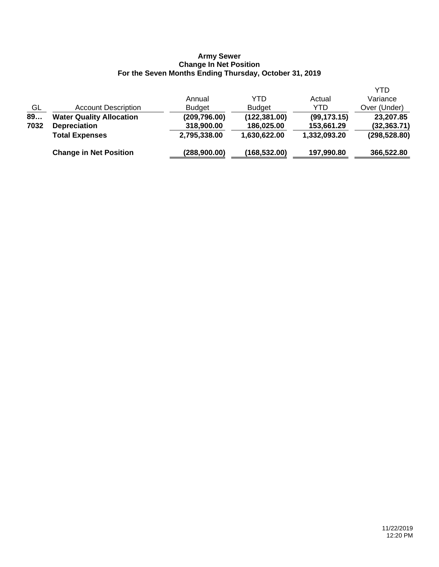#### **Army Sewer Change In Net Position For the Seven Months Ending Thursday, October 31, 2019**

|      |                                 |               |               |              | YTD           |
|------|---------------------------------|---------------|---------------|--------------|---------------|
|      |                                 | Annual        | YTD           | Actual       | Variance      |
| GL   | <b>Account Description</b>      | <b>Budget</b> | <b>Budget</b> | YTD          | Over (Under)  |
| 89   | <b>Water Quality Allocation</b> | (209, 796.00) | (122, 381.00) | (99, 173.15) | 23,207.85     |
| 7032 | <b>Depreciation</b>             | 318,900.00    | 186,025.00    | 153,661.29   | (32, 363.71)  |
|      | <b>Total Expenses</b>           | 2,795,338.00  | 1,630,622.00  | 1,332,093.20 | (298, 528.80) |
|      | <b>Change in Net Position</b>   | (288,900.00)  | (168, 532.00) | 197,990.80   | 366,522.80    |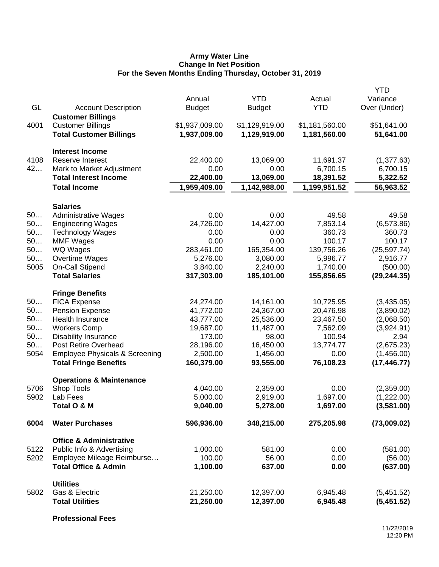## **Army Water Line Change In Net Position For the Seven Months Ending Thursday, October 31, 2019**

|      |                                                      |                |                        |                | <b>YTD</b>   |
|------|------------------------------------------------------|----------------|------------------------|----------------|--------------|
|      |                                                      | Annual         | <b>YTD</b>             | Actual         | Variance     |
| GL   | <b>Account Description</b>                           | <b>Budget</b>  | <b>Budget</b>          | <b>YTD</b>     | Over (Under) |
| 4001 | <b>Customer Billings</b><br><b>Customer Billings</b> | \$1,937,009.00 | \$1,129,919.00         | \$1,181,560.00 | \$51,641.00  |
|      | <b>Total Customer Billings</b>                       | 1,937,009.00   | 1,129,919.00           | 1,181,560.00   | 51,641.00    |
|      |                                                      |                |                        |                |              |
|      | <b>Interest Income</b>                               |                |                        |                |              |
| 4108 | <b>Reserve Interest</b>                              | 22,400.00      | 13,069.00              | 11,691.37      | (1,377.63)   |
| 42   | Mark to Market Adjustment                            | 0.00           | 0.00                   | 6,700.15       | 6,700.15     |
|      | <b>Total Interest Income</b>                         | 22,400.00      | 13,069.00              | 18,391.52      | 5,322.52     |
|      | <b>Total Income</b>                                  | 1,959,409.00   | 1,142,988.00           | 1,199,951.52   | 56,963.52    |
|      |                                                      |                |                        |                |              |
|      | <b>Salaries</b>                                      |                |                        |                |              |
| 50   | <b>Administrative Wages</b>                          | 0.00           | 0.00                   | 49.58          | 49.58        |
| 50   | <b>Engineering Wages</b>                             | 24,726.00      | 14,427.00              | 7,853.14       | (6, 573.86)  |
| 50   | <b>Technology Wages</b>                              | 0.00           | 0.00                   | 360.73         | 360.73       |
| 50   | <b>MMF Wages</b>                                     | 0.00           | 0.00                   | 100.17         | 100.17       |
| 50   | WQ Wages                                             | 283,461.00     | 165,354.00             | 139,756.26     | (25, 597.74) |
| 50   | Overtime Wages                                       | 5,276.00       | 3,080.00               | 5,996.77       | 2,916.77     |
| 5005 | <b>On-Call Stipend</b>                               | 3,840.00       | 2,240.00               | 1,740.00       | (500.00)     |
|      | <b>Total Salaries</b>                                | 317,303.00     | 185,101.00             | 155,856.65     | (29, 244.35) |
|      | <b>Fringe Benefits</b>                               |                |                        |                |              |
| 50   | <b>FICA Expense</b>                                  | 24,274.00      | 14,161.00              | 10,725.95      | (3,435.05)   |
| 50   | <b>Pension Expense</b>                               | 41,772.00      | 24,367.00              | 20,476.98      | (3,890.02)   |
| 50   | Health Insurance                                     | 43,777.00      | 25,536.00              | 23,467.50      | (2,068.50)   |
| 50   | <b>Workers Comp</b>                                  | 19,687.00      | 11,487.00              | 7,562.09       | (3,924.91)   |
| 50   | <b>Disability Insurance</b>                          | 173.00         | 98.00                  | 100.94         | 2.94         |
| 50   | Post Retire Overhead                                 | 28,196.00      | 16,450.00              | 13,774.77      | (2,675.23)   |
| 5054 | <b>Employee Physicals &amp; Screening</b>            | 2,500.00       | 1,456.00               | 0.00           | (1,456.00)   |
|      | <b>Total Fringe Benefits</b>                         | 160,379.00     | 93,555.00              | 76,108.23      | (17, 446.77) |
|      | <b>Operations &amp; Maintenance</b>                  |                |                        |                |              |
| 5706 | Shop Tools                                           | 4,040.00       | 2,359.00               | 0.00           | (2,359.00)   |
| 5902 | Lab Fees                                             | 5,000.00       | 2,919.00               | 1,697.00       | (1,222.00)   |
|      | Total O & M                                          | 9,040.00       | 5,278.00               | 1,697.00       | (3,581.00)   |
|      |                                                      |                |                        |                |              |
| 6004 | <b>Water Purchases</b>                               | 596,936.00     | 348,215.00             | 275,205.98     | (73,009.02)  |
|      | <b>Office &amp; Administrative</b>                   |                |                        |                |              |
| 5122 | Public Info & Advertising                            | 1,000.00       | 581.00                 | 0.00           | (581.00)     |
| 5202 | Employee Mileage Reimburse                           | 100.00         | 56.00                  | 0.00           | (56.00)      |
|      | <b>Total Office &amp; Admin</b>                      | 1,100.00       | 637.00                 | 0.00           | (637.00)     |
|      |                                                      |                |                        |                |              |
|      | <b>Utilities</b>                                     |                |                        |                |              |
| 5802 | Gas & Electric                                       | 21,250.00      | 12,397.00<br>12,397.00 | 6,945.48       | (5,451.52)   |
|      | <b>Total Utilities</b>                               | 21,250.00      |                        | 6,945.48       | (5,451.52)   |

**Professional Fees**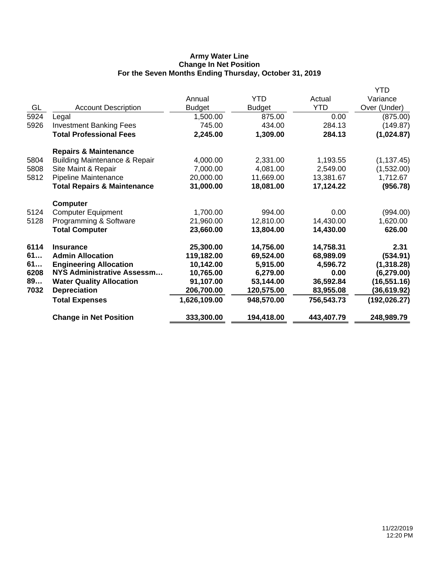# **Army Water Line Change In Net Position For the Seven Months Ending Thursday, October 31, 2019**

|                                          |                           |               |            | YTD           |
|------------------------------------------|---------------------------|---------------|------------|---------------|
|                                          | Annual                    | <b>YTD</b>    | Actual     | Variance      |
| <b>Account Description</b>               | <b>Budget</b>             | <b>Budget</b> | <b>YTD</b> | Over (Under)  |
| Legal                                    | 1,500.00                  | 875.00        | 0.00       | (875.00)      |
| <b>Investment Banking Fees</b>           | 745.00                    | 434.00        | 284.13     | (149.87)      |
| <b>Total Professional Fees</b>           | 2,245.00                  | 1,309.00      | 284.13     | (1,024.87)    |
| <b>Repairs &amp; Maintenance</b>         |                           |               |            |               |
| <b>Building Maintenance &amp; Repair</b> | 4,000.00                  | 2,331.00      | 1,193.55   | (1, 137.45)   |
| Site Maint & Repair                      | 7,000.00                  | 4,081.00      | 2,549.00   | (1,532.00)    |
| Pipeline Maintenance                     | 20,000.00                 | 11,669.00     | 13,381.67  | 1,712.67      |
| <b>Total Repairs &amp; Maintenance</b>   | 31,000.00                 | 18,081.00     | 17,124.22  | (956.78)      |
| <b>Computer</b>                          |                           |               |            |               |
|                                          | 1,700.00                  | 994.00        | 0.00       | (994.00)      |
| Programming & Software                   | 21,960.00                 | 12,810.00     | 14,430.00  | 1,620.00      |
| <b>Total Computer</b>                    | 23,660.00                 | 13,804.00     | 14,430.00  | 626.00        |
| <b>Insurance</b>                         | 25,300.00                 | 14,756.00     | 14,758.31  | 2.31          |
| <b>Admin Allocation</b>                  | 119,182.00                | 69,524.00     | 68,989.09  | (534.91)      |
| <b>Engineering Allocation</b>            | 10,142.00                 | 5,915.00      | 4,596.72   | (1,318.28)    |
| NYS Administrative Assessm               | 10,765.00                 | 6,279.00      | 0.00       | (6, 279.00)   |
| <b>Water Quality Allocation</b>          | 91,107.00                 | 53,144.00     | 36,592.84  | (16, 551.16)  |
| <b>Depreciation</b>                      | 206,700.00                | 120,575.00    | 83,955.08  | (36,619.92)   |
| <b>Total Expenses</b>                    | 1,626,109.00              | 948,570.00    | 756,543.73 | (192, 026.27) |
| <b>Change in Net Position</b>            | 333,300.00                | 194,418.00    | 443,407.79 | 248,989.79    |
|                                          | <b>Computer Equipment</b> |               |            |               |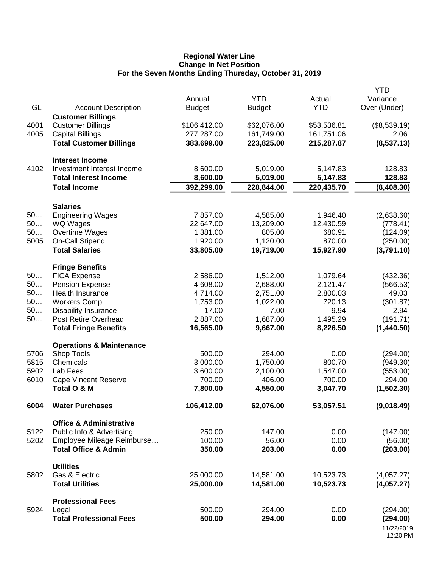### **Regional Water Line Change In Net Position For the Seven Months Ending Thursday, October 31, 2019**

|      |                                                                 | Annual        | <b>YTD</b>    | Actual      | <b>YTD</b><br>Variance |
|------|-----------------------------------------------------------------|---------------|---------------|-------------|------------------------|
| GL   | <b>Account Description</b>                                      | <b>Budget</b> | <b>Budget</b> | <b>YTD</b>  | Over (Under)           |
|      | <b>Customer Billings</b>                                        |               |               |             |                        |
| 4001 | <b>Customer Billings</b>                                        | \$106,412.00  | \$62,076.00   | \$53,536.81 | (\$8,539.19)           |
| 4005 | <b>Capital Billings</b>                                         | 277,287.00    | 161,749.00    | 161,751.06  | 2.06                   |
|      | <b>Total Customer Billings</b>                                  | 383,699.00    | 223,825.00    | 215,287.87  | (8,537.13)             |
|      |                                                                 |               |               |             |                        |
| 4102 | <b>Interest Income</b><br>Investment Interest Income            | 8,600.00      | 5,019.00      | 5,147.83    | 128.83                 |
|      | <b>Total Interest Income</b>                                    | 8,600.00      | 5,019.00      | 5,147.83    | 128.83                 |
|      | <b>Total Income</b>                                             | 392,299.00    | 228,844.00    | 220,435.70  | (8,408.30)             |
|      |                                                                 |               |               |             |                        |
|      | <b>Salaries</b>                                                 |               |               |             |                        |
| 50   | <b>Engineering Wages</b>                                        | 7,857.00      | 4,585.00      | 1,946.40    | (2,638.60)             |
| 50   | WQ Wages                                                        | 22,647.00     | 13,209.00     | 12,430.59   | (778.41)               |
| 50   | Overtime Wages                                                  | 1,381.00      | 805.00        | 680.91      | (124.09)               |
| 5005 | On-Call Stipend                                                 | 1,920.00      | 1,120.00      | 870.00      | (250.00)               |
|      | <b>Total Salaries</b>                                           | 33,805.00     | 19,719.00     | 15,927.90   | (3,791.10)             |
|      | <b>Fringe Benefits</b>                                          |               |               |             |                        |
| 50   | <b>FICA Expense</b>                                             | 2,586.00      | 1,512.00      | 1,079.64    | (432.36)               |
| 50   | <b>Pension Expense</b>                                          | 4,608.00      | 2,688.00      | 2,121.47    | (566.53)               |
| 50   | <b>Health Insurance</b>                                         | 4,714.00      | 2,751.00      | 2,800.03    | 49.03                  |
| 50   | <b>Workers Comp</b>                                             | 1,753.00      | 1,022.00      | 720.13      | (301.87)               |
| 50   | <b>Disability Insurance</b>                                     | 17.00         | 7.00          | 9.94        | 2.94                   |
| 50   | Post Retire Overhead                                            | 2,887.00      | 1,687.00      | 1,495.29    | (191.71)               |
|      | <b>Total Fringe Benefits</b>                                    | 16,565.00     | 9,667.00      | 8,226.50    | (1,440.50)             |
|      | <b>Operations &amp; Maintenance</b>                             |               |               |             |                        |
| 5706 | Shop Tools                                                      | 500.00        | 294.00        | 0.00        | (294.00)               |
| 5815 | Chemicals                                                       | 3,000.00      | 1,750.00      | 800.70      | (949.30)               |
| 5902 | Lab Fees                                                        | 3,600.00      | 2,100.00      | 1,547.00    | (553.00)               |
| 6010 | <b>Cape Vincent Reserve</b>                                     | 700.00        | 406.00        | 700.00      | 294.00                 |
|      | Total O & M                                                     | 7,800.00      | 4,550.00      | 3,047.70    | (1,502.30)             |
| 6004 | <b>Water Purchases</b>                                          | 106,412.00    | 62,076.00     | 53,057.51   | (9,018.49)             |
|      |                                                                 |               |               |             |                        |
| 5122 | <b>Office &amp; Administrative</b><br>Public Info & Advertising | 250.00        | 147.00        | 0.00        | (147.00)               |
| 5202 | Employee Mileage Reimburse                                      | 100.00        | 56.00         | 0.00        | (56.00)                |
|      | <b>Total Office &amp; Admin</b>                                 | 350.00        | 203.00        | 0.00        | (203.00)               |
|      |                                                                 |               |               |             |                        |
|      | <b>Utilities</b>                                                |               |               |             |                        |
| 5802 | Gas & Electric                                                  | 25,000.00     | 14,581.00     | 10,523.73   | (4,057.27)             |
|      | <b>Total Utilities</b>                                          | 25,000.00     | 14,581.00     | 10,523.73   | (4,057.27)             |
|      | <b>Professional Fees</b>                                        |               |               |             |                        |
| 5924 | Legal                                                           | 500.00        | 294.00        | 0.00        | (294.00)               |
|      | <b>Total Professional Fees</b>                                  | 500.00        | 294.00        | 0.00        | (294.00)               |
|      |                                                                 |               |               |             | 11/22/2019<br>12:20 PM |
|      |                                                                 |               |               |             |                        |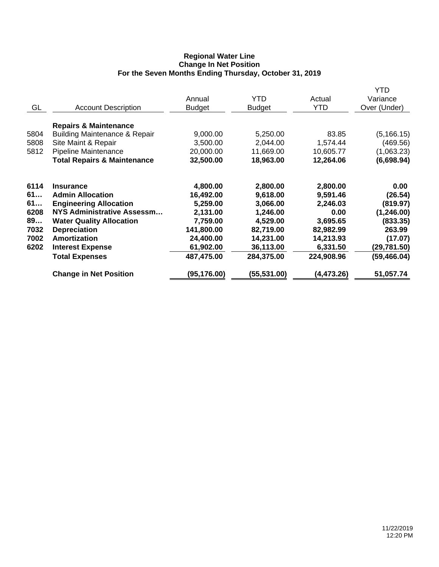# **Regional Water Line Change In Net Position For the Seven Months Ending Thursday, October 31, 2019**

|      |                                          |               |               |             | <b>YTD</b>   |
|------|------------------------------------------|---------------|---------------|-------------|--------------|
|      |                                          | Annual        | <b>YTD</b>    | Actual      | Variance     |
| GL   | <b>Account Description</b>               | <b>Budget</b> | <b>Budget</b> | <b>YTD</b>  | Over (Under) |
|      | <b>Repairs &amp; Maintenance</b>         |               |               |             |              |
| 5804 | <b>Building Maintenance &amp; Repair</b> | 9,000.00      | 5,250.00      | 83.85       | (5, 166.15)  |
| 5808 | Site Maint & Repair                      | 3,500.00      | 2,044.00      | 1,574.44    | (469.56)     |
| 5812 | Pipeline Maintenance                     | 20,000.00     | 11,669.00     | 10,605.77   | (1,063.23)   |
|      | <b>Total Repairs &amp; Maintenance</b>   | 32,500.00     | 18,963.00     | 12,264.06   | (6,698.94)   |
| 6114 | <b>Insurance</b>                         | 4,800.00      | 2,800.00      | 2,800.00    | 0.00         |
| 61   | <b>Admin Allocation</b>                  | 16,492.00     | 9,618.00      | 9,591.46    | (26.54)      |
| 61   | <b>Engineering Allocation</b>            | 5,259.00      | 3,066.00      | 2,246.03    | (819.97)     |
| 6208 | NYS Administrative Assessm               | 2,131.00      | 1,246.00      | 0.00        | (1, 246.00)  |
| 89   | <b>Water Quality Allocation</b>          | 7,759.00      | 4,529.00      | 3,695.65    | (833.35)     |
| 7032 | <b>Depreciation</b>                      | 141,800.00    | 82,719.00     | 82,982.99   | 263.99       |
| 7002 | <b>Amortization</b>                      | 24,400.00     | 14,231.00     | 14,213.93   | (17.07)      |
| 6202 | <b>Interest Expense</b>                  | 61,902.00     | 36,113.00     | 6,331.50    | (29,781.50)  |
|      | <b>Total Expenses</b>                    | 487,475.00    | 284,375.00    | 224,908.96  | (59, 466.04) |
|      | <b>Change in Net Position</b>            | (95, 176.00)  | (55,531.00)   | (4, 473.26) | 51,057.74    |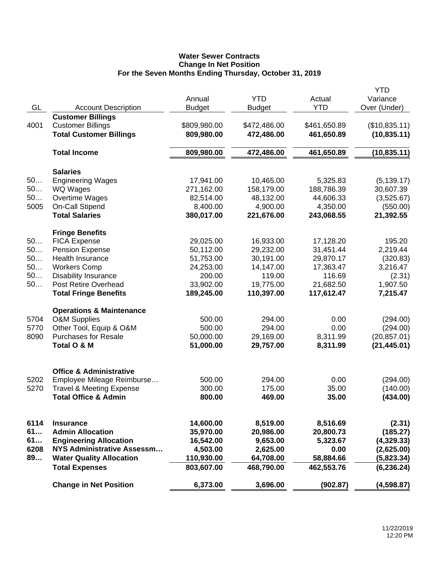# **Water Sewer Contracts Change In Net Position For the Seven Months Ending Thursday, October 31, 2019**

|      |                                     |               |               |              | <b>YTD</b>    |
|------|-------------------------------------|---------------|---------------|--------------|---------------|
|      |                                     | Annual        | <b>YTD</b>    | Actual       | Variance      |
| GL   | <b>Account Description</b>          | <b>Budget</b> | <b>Budget</b> | <b>YTD</b>   | Over (Under)  |
|      | <b>Customer Billings</b>            |               |               |              |               |
| 4001 | <b>Customer Billings</b>            | \$809,980.00  | \$472,486.00  | \$461,650.89 | (\$10,835.11) |
|      | <b>Total Customer Billings</b>      | 809,980.00    | 472,486.00    | 461,650.89   | (10, 835.11)  |
|      |                                     |               |               |              |               |
|      | <b>Total Income</b>                 | 809,980.00    | 472,486.00    | 461,650.89   | (10, 835.11)  |
|      |                                     |               |               |              |               |
|      | <b>Salaries</b>                     |               |               |              |               |
| 50   | <b>Engineering Wages</b>            | 17,941.00     | 10,465.00     | 5,325.83     | (5, 139.17)   |
| 50   | WQ Wages                            | 271,162.00    | 158,179.00    | 188,786.39   | 30,607.39     |
| 50   |                                     | 82,514.00     |               |              |               |
| 5005 | Overtime Wages                      |               | 48,132.00     | 44,606.33    | (3,525.67)    |
|      | On-Call Stipend                     | 8,400.00      | 4,900.00      | 4,350.00     | (550.00)      |
|      | <b>Total Salaries</b>               | 380,017.00    | 221,676.00    | 243,068.55   | 21,392.55     |
|      | <b>Fringe Benefits</b>              |               |               |              |               |
| 50   | <b>FICA Expense</b>                 | 29,025.00     | 16,933.00     | 17,128.20    | 195.20        |
| 50   | <b>Pension Expense</b>              | 50,112.00     | 29,232.00     | 31,451.44    | 2,219.44      |
| 50   | <b>Health Insurance</b>             | 51,753.00     | 30,191.00     | 29,870.17    | (320.83)      |
|      |                                     |               |               |              |               |
| 50   | <b>Workers Comp</b>                 | 24,253.00     | 14,147.00     | 17,363.47    | 3,216.47      |
| 50   | <b>Disability Insurance</b>         | 200.00        | 119.00        | 116.69       | (2.31)        |
| 50   | <b>Post Retire Overhead</b>         | 33,902.00     | 19,775.00     | 21,682.50    | 1,907.50      |
|      | <b>Total Fringe Benefits</b>        | 189,245.00    | 110,397.00    | 117,612.47   | 7,215.47      |
|      | <b>Operations &amp; Maintenance</b> |               |               |              |               |
| 5704 | <b>O&amp;M Supplies</b>             | 500.00        | 294.00        | 0.00         | (294.00)      |
| 5770 | Other Tool, Equip & O&M             | 500.00        | 294.00        | 0.00         | (294.00)      |
| 8090 | <b>Purchases for Resale</b>         | 50,000.00     | 29,169.00     | 8,311.99     | (20, 857.01)  |
|      |                                     |               |               |              |               |
|      | Total O & M                         | 51,000.00     | 29,757.00     | 8,311.99     | (21, 445.01)  |
|      |                                     |               |               |              |               |
|      | <b>Office &amp; Administrative</b>  |               |               |              |               |
| 5202 | Employee Mileage Reimburse          | 500.00        | 294.00        | 0.00         | (294.00)      |
| 5270 | <b>Travel &amp; Meeting Expense</b> | 300.00        | 175.00        | 35.00        | (140.00)      |
|      | <b>Total Office &amp; Admin</b>     | 800.00        | 469.00        | 35.00        | (434.00)      |
|      |                                     |               |               |              |               |
|      |                                     |               |               |              |               |
| 6114 | <b>Insurance</b>                    | 14,600.00     | 8,519.00      | 8,516.69     | (2.31)        |
| 61   | <b>Admin Allocation</b>             | 35,970.00     | 20,986.00     | 20,800.73    | (185.27)      |
| 61   | <b>Engineering Allocation</b>       | 16,542.00     | 9,653.00      | 5,323.67     | (4,329.33)    |
| 6208 | <b>NYS Administrative Assessm</b>   | 4,503.00      | 2,625.00      | 0.00         | (2,625.00)    |
| 89   | <b>Water Quality Allocation</b>     | 110,930.00    | 64,708.00     | 58,884.66    | (5,823.34)    |
|      | <b>Total Expenses</b>               | 803,607.00    | 468,790.00    | 462,553.76   | (6, 236.24)   |
|      | <b>Change in Net Position</b>       | 6,373.00      | 3,696.00      | (902.87)     | (4,598.87)    |
|      |                                     |               |               |              |               |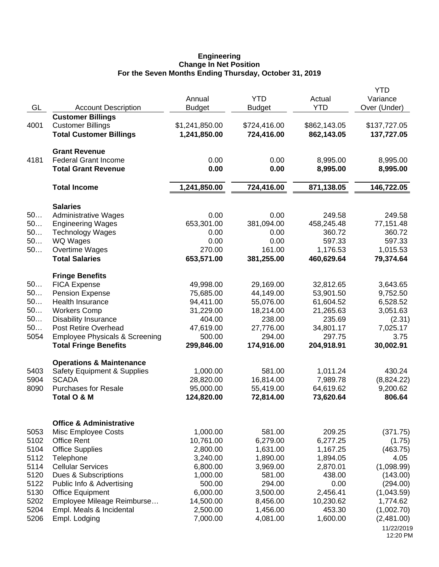### **Engineering Change In Net Position For the Seven Months Ending Thursday, October 31, 2019**

|              |                                                       | Annual               | <b>YTD</b>          | Actual               | <b>YTD</b><br>Variance |
|--------------|-------------------------------------------------------|----------------------|---------------------|----------------------|------------------------|
| GL           | <b>Account Description</b>                            | <b>Budget</b>        | <b>Budget</b>       | <b>YTD</b>           | Over (Under)           |
|              | <b>Customer Billings</b>                              |                      |                     |                      |                        |
| 4001         | <b>Customer Billings</b>                              | \$1,241,850.00       | \$724,416.00        | \$862,143.05         | \$137,727.05           |
|              | <b>Total Customer Billings</b>                        | 1,241,850.00         | 724,416.00          | 862,143.05           | 137,727.05             |
|              | <b>Grant Revenue</b>                                  |                      |                     |                      |                        |
| 4181         | <b>Federal Grant Income</b>                           | 0.00                 | 0.00                | 8,995.00             | 8,995.00               |
|              | <b>Total Grant Revenue</b>                            | 0.00                 | 0.00                | 8,995.00             | 8,995.00               |
|              | <b>Total Income</b>                                   | 1,241,850.00         | 724,416.00          | 871,138.05           | 146,722.05             |
|              | <b>Salaries</b>                                       |                      |                     |                      |                        |
| 50           | <b>Administrative Wages</b>                           | 0.00                 | 0.00                | 249.58               | 249.58                 |
| 50           | <b>Engineering Wages</b>                              | 653,301.00           | 381,094.00          | 458,245.48           | 77,151.48              |
| 50           | <b>Technology Wages</b>                               | 0.00                 | 0.00                | 360.72               | 360.72                 |
| 50           | WQ Wages                                              | 0.00                 | 0.00                | 597.33               | 597.33                 |
| 50           | Overtime Wages                                        | 270.00               | 161.00              | 1,176.53             | 1,015.53               |
|              | <b>Total Salaries</b>                                 | 653,571.00           | 381,255.00          | 460,629.64           | 79,374.64              |
|              | <b>Fringe Benefits</b>                                |                      |                     |                      |                        |
| 50           | <b>FICA Expense</b>                                   | 49,998.00            | 29,169.00           | 32,812.65            | 3,643.65               |
| 50           | <b>Pension Expense</b>                                | 75,685.00            | 44,149.00           | 53,901.50            | 9,752.50               |
| 50           | Health Insurance                                      | 94,411.00            | 55,076.00           | 61,604.52            | 6,528.52               |
| 50           | <b>Workers Comp</b>                                   | 31,229.00            | 18,214.00           | 21,265.63            | 3,051.63               |
| 50           | <b>Disability Insurance</b>                           | 404.00               | 238.00              | 235.69               | (2.31)                 |
| 50<br>5054   | Post Retire Overhead                                  | 47,619.00            | 27,776.00<br>294.00 | 34,801.17<br>297.75  | 7,025.17<br>3.75       |
|              | <b>Employee Physicals &amp; Screening</b>             | 500.00<br>299,846.00 | 174,916.00          |                      | 30,002.91              |
|              | <b>Total Fringe Benefits</b>                          |                      |                     | 204,918.91           |                        |
| 5403         | <b>Operations &amp; Maintenance</b>                   | 1,000.00             | 581.00              |                      | 430.24                 |
| 5904         | Safety Equipment & Supplies<br><b>SCADA</b>           | 28,820.00            | 16,814.00           | 1,011.24<br>7,989.78 | (8,824.22)             |
| 8090         | <b>Purchases for Resale</b>                           | 95,000.00            | 55,419.00           | 64,619.62            | 9,200.62               |
|              | Total O & M                                           | 124,820.00           | 72,814.00           | 73,620.64            | 806.64                 |
|              |                                                       |                      |                     |                      |                        |
|              | <b>Office &amp; Administrative</b>                    |                      |                     |                      |                        |
| 5053         | <b>Misc Employee Costs</b>                            | 1,000.00             | 581.00              | 209.25               | (371.75)               |
| 5102         | <b>Office Rent</b>                                    | 10,761.00            | 6,279.00            | 6,277.25             | (1.75)                 |
| 5104         | <b>Office Supplies</b>                                | 2,800.00             | 1,631.00            | 1,167.25             | (463.75)               |
| 5112         | Telephone                                             | 3,240.00             | 1,890.00            | 1,894.05             | 4.05                   |
| 5114         | <b>Cellular Services</b>                              | 6,800.00             | 3,969.00            | 2,870.01             | (1,098.99)             |
| 5120         | Dues & Subscriptions                                  | 1,000.00             | 581.00              | 438.00               | (143.00)<br>(294.00)   |
| 5122<br>5130 | Public Info & Advertising                             | 500.00<br>6,000.00   | 294.00<br>3,500.00  | 0.00<br>2,456.41     | (1,043.59)             |
| 5202         | <b>Office Equipment</b><br>Employee Mileage Reimburse | 14,500.00            | 8,456.00            | 10,230.62            | 1,774.62               |
| 5204         | Empl. Meals & Incidental                              | 2,500.00             | 1,456.00            | 453.30               | (1,002.70)             |
| 5206         | Empl. Lodging                                         | 7,000.00             | 4,081.00            | 1,600.00             | (2,481.00)             |
|              |                                                       |                      |                     |                      | 11/22/2019             |
|              |                                                       |                      |                     |                      | 12:20 PM               |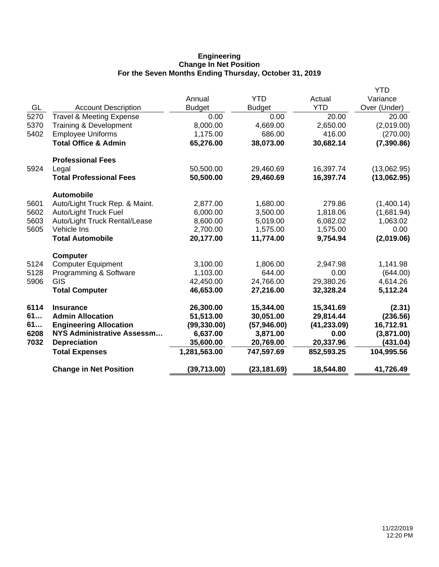# **Engineering Change In Net Position For the Seven Months Ending Thursday, October 31, 2019**

|      |                                     |               |               |              | <b>YTD</b>   |
|------|-------------------------------------|---------------|---------------|--------------|--------------|
|      |                                     | Annual        | <b>YTD</b>    | Actual       | Variance     |
| GL   | <b>Account Description</b>          | <b>Budget</b> | <b>Budget</b> | <b>YTD</b>   | Over (Under) |
| 5270 | <b>Travel &amp; Meeting Expense</b> | 0.00          | 0.00          | 20.00        | 20.00        |
| 5370 | Training & Development              | 8,000.00      | 4,669.00      | 2,650.00     | (2,019.00)   |
| 5402 | <b>Employee Uniforms</b>            | 1,175.00      | 686.00        | 416.00       | (270.00)     |
|      | <b>Total Office &amp; Admin</b>     | 65,276.00     | 38,073.00     | 30,682.14    | (7, 390.86)  |
|      | <b>Professional Fees</b>            |               |               |              |              |
| 5924 | Legal                               | 50,500.00     | 29,460.69     | 16,397.74    | (13,062.95)  |
|      | <b>Total Professional Fees</b>      | 50,500.00     | 29,460.69     | 16,397.74    | (13,062.95)  |
|      | <b>Automobile</b>                   |               |               |              |              |
| 5601 | Auto/Light Truck Rep. & Maint.      | 2,877.00      | 1,680.00      | 279.86       | (1,400.14)   |
| 5602 | <b>Auto/Light Truck Fuel</b>        | 6,000.00      | 3,500.00      | 1,818.06     | (1,681.94)   |
| 5603 | Auto/Light Truck Rental/Lease       | 8,600.00      | 5,019.00      | 6,082.02     | 1,063.02     |
| 5605 | Vehicle Ins                         | 2,700.00      | 1,575.00      | 1,575.00     | 0.00         |
|      | <b>Total Automobile</b>             | 20,177.00     | 11,774.00     | 9,754.94     | (2,019.06)   |
|      | <b>Computer</b>                     |               |               |              |              |
| 5124 | <b>Computer Equipment</b>           | 3,100.00      | 1,806.00      | 2,947.98     | 1,141.98     |
| 5128 | Programming & Software              | 1,103.00      | 644.00        | 0.00         | (644.00)     |
| 5906 | GIS                                 | 42,450.00     | 24,766.00     | 29,380.26    | 4,614.26     |
|      | <b>Total Computer</b>               | 46,653.00     | 27,216.00     | 32,328.24    | 5,112.24     |
| 6114 | <b>Insurance</b>                    | 26,300.00     | 15,344.00     | 15,341.69    | (2.31)       |
| 61   | <b>Admin Allocation</b>             | 51,513.00     | 30,051.00     | 29,814.44    | (236.56)     |
| 61   | <b>Engineering Allocation</b>       | (99, 330.00)  | (57, 946.00)  | (41, 233.09) | 16,712.91    |
| 6208 | NYS Administrative Assessm          | 6,637.00      | 3,871.00      | 0.00         | (3,871.00)   |
| 7032 | <b>Depreciation</b>                 | 35,600.00     | 20,769.00     | 20,337.96    | (431.04)     |
|      | <b>Total Expenses</b>               | 1,281,563.00  | 747,597.69    | 852,593.25   | 104,995.56   |
|      | <b>Change in Net Position</b>       | (39,713.00)   | (23, 181.69)  | 18,544.80    | 41,726.49    |
|      |                                     |               |               |              |              |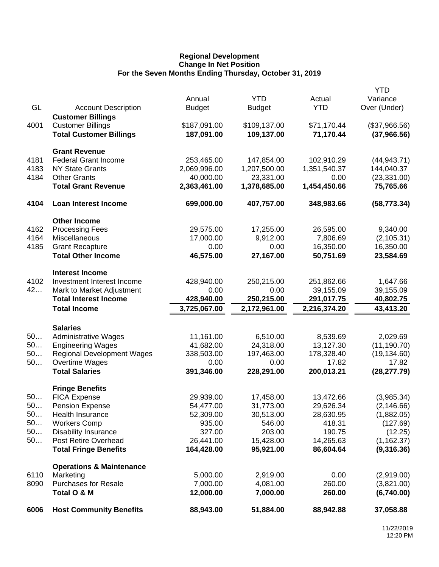## **Regional Development Change In Net Position For the Seven Months Ending Thursday, October 31, 2019**

|      |                                     |               |               |              | <b>YTD</b>    |
|------|-------------------------------------|---------------|---------------|--------------|---------------|
|      |                                     | Annual        | <b>YTD</b>    | Actual       | Variance      |
| GL   | <b>Account Description</b>          | <b>Budget</b> | <b>Budget</b> | <b>YTD</b>   | Over (Under)  |
|      | <b>Customer Billings</b>            |               |               |              |               |
| 4001 | <b>Customer Billings</b>            | \$187,091.00  | \$109,137.00  | \$71,170.44  | (\$37,966.56) |
|      | <b>Total Customer Billings</b>      | 187,091.00    | 109,137.00    | 71,170.44    | (37,966.56)   |
|      | <b>Grant Revenue</b>                |               |               |              |               |
| 4181 | <b>Federal Grant Income</b>         | 253,465.00    | 147,854.00    | 102,910.29   | (44, 943.71)  |
| 4183 | <b>NY State Grants</b>              | 2,069,996.00  | 1,207,500.00  | 1,351,540.37 | 144,040.37    |
| 4184 | <b>Other Grants</b>                 | 40,000.00     | 23,331.00     | 0.00         | (23, 331.00)  |
|      | <b>Total Grant Revenue</b>          | 2,363,461.00  | 1,378,685.00  | 1,454,450.66 | 75,765.66     |
| 4104 | <b>Loan Interest Income</b>         | 699,000.00    | 407,757.00    | 348,983.66   | (58, 773.34)  |
|      | <b>Other Income</b>                 |               |               |              |               |
| 4162 | <b>Processing Fees</b>              | 29,575.00     | 17,255.00     | 26,595.00    | 9,340.00      |
| 4164 | Miscellaneous                       | 17,000.00     | 9,912.00      | 7,806.69     | (2, 105.31)   |
| 4185 | <b>Grant Recapture</b>              | 0.00          | 0.00          | 16,350.00    | 16,350.00     |
|      | <b>Total Other Income</b>           | 46,575.00     | 27,167.00     | 50,751.69    | 23,584.69     |
|      | <b>Interest Income</b>              |               |               |              |               |
| 4102 | Investment Interest Income          | 428,940.00    | 250,215.00    | 251,862.66   | 1,647.66      |
| 42   | Mark to Market Adjustment           | 0.00          | 0.00          | 39,155.09    | 39,155.09     |
|      | <b>Total Interest Income</b>        | 428,940.00    | 250,215.00    | 291,017.75   | 40,802.75     |
|      | <b>Total Income</b>                 | 3,725,067.00  | 2,172,961.00  | 2,216,374.20 | 43,413.20     |
|      |                                     |               |               |              |               |
|      | <b>Salaries</b>                     |               |               |              |               |
| 50   | <b>Administrative Wages</b>         | 11,161.00     | 6,510.00      | 8,539.69     | 2,029.69      |
| 50   | <b>Engineering Wages</b>            | 41,682.00     | 24,318.00     | 13,127.30    | (11, 190.70)  |
| 50   | <b>Regional Development Wages</b>   | 338,503.00    | 197,463.00    | 178,328.40   | (19, 134.60)  |
| 50   | Overtime Wages                      | 0.00          | 0.00          | 17.82        | 17.82         |
|      | <b>Total Salaries</b>               | 391,346.00    | 228,291.00    | 200,013.21   | (28, 277.79)  |
|      | <b>Fringe Benefits</b>              |               |               |              |               |
| 50   | <b>FICA Expense</b>                 | 29,939.00     | 17,458.00     | 13,472.66    | (3,985.34)    |
| 50.  | Pension Expense                     | 54,477.00     | 31,773.00     | 29,626.34    | (2, 146.66)   |
| 50   | Health Insurance                    | 52,309.00     | 30,513.00     | 28,630.95    | (1,882.05)    |
| 50   | <b>Workers Comp</b>                 | 935.00        | 546.00        | 418.31       | (127.69)      |
| 50   | Disability Insurance                | 327.00        | 203.00        | 190.75       | (12.25)       |
| 50   | Post Retire Overhead                | 26,441.00     | 15,428.00     | 14,265.63    | (1, 162.37)   |
|      | <b>Total Fringe Benefits</b>        | 164,428.00    | 95,921.00     | 86,604.64    | (9,316.36)    |
|      | <b>Operations &amp; Maintenance</b> |               |               |              |               |
| 6110 | Marketing                           | 5,000.00      | 2,919.00      | 0.00         | (2,919.00)    |
| 8090 | <b>Purchases for Resale</b>         | 7,000.00      | 4,081.00      | 260.00       | (3,821.00)    |
|      | Total O & M                         | 12,000.00     | 7,000.00      | 260.00       | (6,740.00)    |
| 6006 | <b>Host Community Benefits</b>      | 88,943.00     | 51,884.00     | 88,942.88    | 37,058.88     |